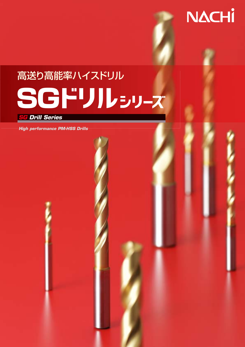# 高送り高能率ハイスドリル *High performance PM HSS* SG

**NACHI** 

*SG Drill Series G*

*High performance PM-HSS Drills*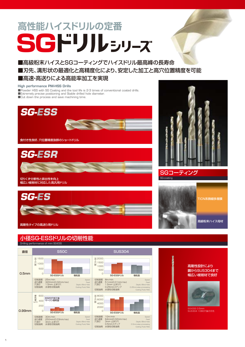# **高性能ハイスドリルの定番** SGFJJLEJJ-Z

■高級粉末ハイスとSGコーティングでハイスドリル最高峰の長寿命 ■刃先、溝形状の最適化と高精度化により、安定した加工と高穴位置精度を可能 ■高速・高送りによる高能率加工を実現

#### **High performance PM-HSS Drills**

■Powder HSS with SG Coating and the tool life is 2-3 times of conventional coated drills. ■Extremely precise positioning and Stable drilled hole diameter. ■Cut down the process and save machining time.







#### Drilling performance of mini SG-ESS 小径SG-ESSドリルの切削性能







SG-coating

SGコーティング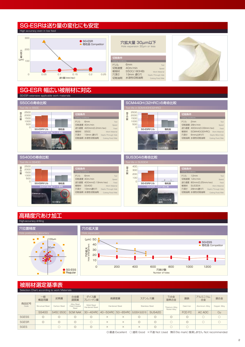### SG-ESRは送り量の変化にも安定

**High accuracy even in low feed** 



#### 切削条件 ドリル 切削速度 被削材 穴深さ 切削油剤 6mm 40m/min S50C(180HB) 19mm 通り穴 水溶性切削油剤 Tool **Speed** Work Material /Through Hole Cutting Fluid/Wet 穴拡大量 30μm以下 Hole expansion 30μm or less



### SG-ESR 幅広い被削材に対応



#### High-accuracy drilling 高精度穴あけ加工



### 被削材選定基準表

|              | Selection Chart according to work Materials |                |                                      |                                     |          |                                          |                        |                |                                |                |                |              |
|--------------|---------------------------------------------|----------------|--------------------------------------|-------------------------------------|----------|------------------------------------------|------------------------|----------------|--------------------------------|----------------|----------------|--------------|
|              | 一般<br>構造用鋼                                  | 炭素鋼            | 合金鋼<br>調質鋼                           | ダイス鋼<br>プレハードン鋼                     |          | 高硬度鋼                                     |                        | ステンレス鋼         | Ti合金<br>耐熱合金                   | 鋳鉄             | アルミニウム<br>合金   | 銅合金          |
| 商品記号<br>Code | <b>Structual Steel</b>                      | Carbon Steel   | Alloy Steel<br>Heat treated<br>Steel | Mold Steel<br><b>Hardened Steel</b> |          | Hardened Steel                           | <b>Stainless Steel</b> |                | Titanium Allov<br>Nickel Alloy | Cast Iron      | Aluminum Alloy | Copper Alloy |
|              | <b>SS400</b>                                | S45C S50C      | <b>SCM NAK</b>                       |                                     |          | 30~40HRC 40~50HRC 50~65HRC SUS304 SUS316 |                        | SUS420         |                                | FCD FC         | AC ADC         | Cu           |
| <b>SGESS</b> | $\circledcirc$                              | $\circ$        | $\circledcirc$                       | $\circledcirc$                      | $\times$ | $\times$                                 | $\circledcirc$         | $\circledcirc$ | $\circledcirc$                 | $\circledcirc$ |                |              |
| <b>SGESR</b> | $\circledcirc$                              | $\circledcirc$ | $\circledcirc$                       |                                     | $\times$ | $\times$                                 | $\circledcirc$         | $\circledcirc$ |                                | $\circledcirc$ |                |              |
| <b>SGES</b>  |                                             |                | $\circledcirc$                       | $\circledcirc$                      | $\times$ | $\times$                                 | $\times$               | $\circledcirc$ |                                |                |                |              |

◎:最適 Excellent ○:適用 Good ×:不適 Not Used 無印(No mark):推奨しません Not recommended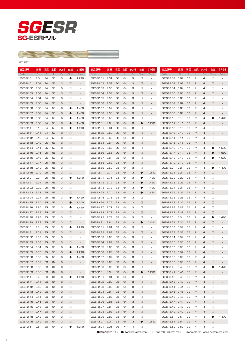



#### LIST 7574

| 商品記号           | 直径   | 溝長            | 全長 | シャンク怪 | 仕庫        | 参考価格                     | 商品記号                 | 直径   | 溝長 | 全長 | ジャンク径 | 仕店           |                          | 商品記号           | 直径   | 溝長     | 全長 | シャンク径          | 任庫           | 参考価格                     |
|----------------|------|---------------|----|-------|-----------|--------------------------|----------------------|------|----|----|-------|--------------|--------------------------|----------------|------|--------|----|----------------|--------------|--------------------------|
| Code           | Dc   | $\mathcal{Q}$ | I. | Ds    | Stock     | Price                    | Code                 | Dc   | ₽. | ı. | Ds.   | <b>Stock</b> | Price                    | Code           | Dc   | $\ell$ |    | Ds             | <b>Stock</b> | Price                    |
| SGESR2.0       | 2.0  | 24            | 56 | З     | 0         | 1,240                    | SGESR2.51            | 2.51 | 30 | 64 | З     | $\Box$       |                          | SGESR3.02      | 3.02 | 36     | 71 | 4              | $\Box$       |                          |
| SGESR2.01      | 2.01 | 24            | 56 | З     | $\Box$    |                          | SGESR2.52            | 2.52 | 30 | 64 | З     | $\Box$       |                          | SGESR3.03      | 3.03 | 36     | 71 | 4              | $\Box$       |                          |
| SGESR2.02      | 2.02 | 24            | 56 | З     | $\Box$    |                          | SGESR2.53            | 2.53 | 30 | 64 | з     | $\Box$       |                          | SGESR3.04      | 3.04 | 36     | 71 | 4              | $\Box$       |                          |
| SGESR2.03      | 2.03 | 24            | 56 | з     | $\Box$    |                          | SGESR2.54            | 2.54 | 30 | 64 | 3     | $\Box$       |                          | SGESR3.05      | 3.05 | 36     | 71 | $\overline{4}$ | $\Box$       |                          |
| SGESR2.04      | 2.04 | 24            | 56 | З     | $\Box$    |                          | SGESR2.55            | 2.55 | 30 | 64 | з     | $\Box$       |                          | SGESR3.06      | 3.06 | 36     | 71 | 4              | 0            |                          |
| SGESR2.05      | 2.05 | 24            | 56 | З     | $\Box$    |                          | SGESR2.56            | 2.56 | 30 | 64 | 3     | $\Box$       |                          | SGESR3.07      | 3.07 | 36     | 71 | $\overline{4}$ | $\Box$       |                          |
| SGESR2.06      | 2.06 | 24            | 56 | З     |           | 1,430                    | SGESR2.57            | 2.57 | 30 | 64 | З     | $\Box$       |                          | SGESR3.08      | 3.08 | 36     | 71 | 4              | $\Box$       |                          |
| SGESR2.07      | 2.07 | 24            | 56 | З     | $\bullet$ | 1,430                    | SGESR2.58            | 2.58 | 30 | 64 | 3     | $\Box$       |                          | SGESR3.09      | 3.09 | 36     | 71 | $\overline{4}$ | $\Box$       |                          |
| SGESR2.08      | 2.08 | 24            | 56 | З     |           | 1,430                    | SGESR2.59            | 2.59 | 30 | 64 | З     | $\Box$       |                          | SGESR3.1       | 3.1  | 36     | 71 | 4              |              | 1,470                    |
| SGESR2.09      | 2.09 | 24            | 56 | З     | $\bullet$ | 1,430                    | SGESR <sub>2.6</sub> | 2.6  | 30 | 64 | 3     | 0            | 1,240                    | SGESR3.11      | 3.11 | 36     | 71 | $\overline{4}$ | $\Box$       |                          |
| SGESR2.1       | 2.1  | 24            | 56 | З     | 0         | 1,240                    | SGESR2.61            | 2.61 | 30 | 64 | з     | □            |                          | SGESR3.12      | 3.12 | 36     | 71 | $\overline{4}$ | 0            |                          |
| SGESR2.11      | 2.11 | 24            | 56 | з     | $\Box$    | $\overline{\phantom{a}}$ | SGESR2.62            | 2.62 | 30 | 64 | 3     | $\Box$       |                          | SGESR3.13      | 3.13 | 36     | 71 | $\overline{4}$ | $\Box$       |                          |
| SGESR2.12 2.12 |      | 24            | 56 | З     | $\Box$    | ä,                       | SGESR2.63            | 2.63 | 30 | 64 | з     | □            |                          | SGESR3.14      | 3.14 | 36     | 71 | $\overline{4}$ | 0            |                          |
| SGESR2.13 2.13 |      | 25            | 56 | з     | $\Box$    | $\overline{\phantom{a}}$ | SGESR2.64            | 2.64 | 30 | 64 | 3     | $\Box$       |                          | SGESR3.15      | 3.15 | 36     | 71 | $\overline{4}$ | $\Box$       |                          |
| SGESR2.14      | 2.14 | 25            | 56 | З     | □         | ä,                       | SGESR2.65            | 2.65 | 30 | 64 | з     | □            |                          | SGESR3.16      | 3.16 | 36     | 71 | $\overline{4}$ | O            | 1,560                    |
| SGESR2.15 2.15 |      | 25            | 56 | з     | $\Box$    |                          | SGESR2.66            | 2.66 | 30 | 64 | 3     | $\Box$       |                          | SGESR3.17      | 3.17 | 36     | 71 | $\overline{4}$ | $\bullet$    | 1,560                    |
| SGESR2.16 2.16 |      | 25            | 56 | З     | □         | ×,                       | SGESR2.67            | 2.67 | 33 | 64 | З     | □            |                          | SGESR3.18      | 3.18 | 36     | 71 | 4              |              | 1,560                    |
| SGESR2.17 2.17 |      | 25            | 56 | З     | $\Box$    | $\overline{\phantom{a}}$ | SGESR2.68            | 2.68 | 33 | 64 | З     | $\Box$       | $\overline{\phantom{a}}$ | SGESR3.19      | 3.19 | 36     | 71 | $\overline{4}$ | $\Box$       | $\sim$                   |
| SGESR2.18 2.18 |      | 25            | 56 | З     | □         |                          | SGESR2.69            | 2.69 | 33 | 64 | З     | □            |                          | SGESR3.2       | 3.2  | 36     | 71 | $\overline{4}$ | œ            | 1,470                    |
| SGESR2.19      | 2.19 | 25            | 56 | З     | □         | ÷,                       | SGESR2.7             | 2.7  | 33 | 64 | З     | $\bullet$    | 1,240                    | SGESR3.21      | 3.21 | 36     | 71 | $\overline{4}$ | $\Box$       |                          |
| SGESR2.2       | 2.2  | 25            | 56 | З     | О.        | 1,240                    | SGESR2.71            | 2.71 | 33 | 64 | З     |              | 1,430                    | SGESR3.22      | 3.22 | 36     | 71 | $\overline{4}$ | 0            |                          |
| SGESR2.21      | 2.21 | 25            | 56 | З     | $\Box$    |                          | SGESR2.72            | 2.72 | 33 | 64 | З     | $\bullet$    | 1,430                    | SGESR3.23      | 3.23 | 36     | 71 | $\overline{4}$ | $\Box$       |                          |
| SGESR2.22 2.22 |      | 25            | 56 | З     | □         |                          | SGESR2.73            | 2.73 | 33 | 64 | з     |              | 1,430                    | SGESR3.24      | 3.24 | 36     | 71 | $\overline{4}$ | 0            |                          |
| SGESR2.23      | 2.23 | 25            | 56 | З     | □         | ÷.                       | SGESR2.74            | 2.74 | 33 | 64 | З     | 0            | 1,430                    | SGESR3.25      | 3.25 | 36     | 71 | $\overline{4}$ | $\Box$       |                          |
| SGESR2.24      | 2.24 | 25            | 56 | З     | О.        | 1,430                    | SGESR2.75            | 2.75 | 33 | 64 | З     | □            |                          | SGESR3.26      | 3.26 | 36     | 71 | 4              | $\Box$       |                          |
| SGESR2.25      | 2.25 | 25            | 56 | З     | ●         | 1,240                    | SGESR2.76            | 2.76 | 33 | 64 | З     | $\Box$       |                          | SGESR3.27      | 3.27 | 36     | 71 | $\overline{4}$ | $\Box$       |                          |
| SGESR2.26      | 2.26 | 25            | 56 | З     | $\bullet$ | 1,430                    | SGESR2.77            | 2.77 | 33 | 64 | З     | □            |                          | SGESR3.28      | 3.28 | 36     | 71 | 4              | 0            |                          |
| SGESR2.27 2.27 |      | 25            | 56 | З     | $\Box$    |                          | SGESR2.78            | 2.78 | 33 | 64 | З     | □            |                          | SGESR3.29      | 3.29 | 36     | 71 | $\overline{4}$ | 0            |                          |
| SGESR2.28      | 2.28 | 25            | 56 | З     | □         |                          | SGESR2.79            | 2.79 | 33 | 64 | З     | □            |                          | SGESR3.3       | 3.3  | 36     | 71 | $\overline{4}$ | Ø            | 1,470                    |
| SGESR2.29      | 2.29 | 25            | 56 | З     | □         |                          | SGESR2.8             | 2.8  | 33 | 64 | З     | 0            | 1,240                    | SGESR3.31      | 3.31 | 36     | 71 | $\overline{4}$ | $\Box$       |                          |
| SGESR2.3       | 2.3  | 25            | 56 | З     | 0         | 1,240                    | SGESR2.81            | 2.81 | 33 | 64 | з     | □            |                          | SGESR3.32      | 3.32 | 36     | 71 | 4              | $\Box$       |                          |
| SGESR2.31      | 2.31 | 25            | 56 | З     | $\Box$    |                          | SGESR2.82            | 2.82 | 33 | 64 | З     | $\Box$       |                          | SGESR3.33      | 3.33 | 36     | 71 | $\overline{4}$ | $\Box$       |                          |
| SGESR2.32      | 2.32 | 25            | 56 | З     | □         |                          | SGESR2.83            | 2.83 | 33 | 64 | з     | □            |                          | SGESR3.34      | 3.34 | 36     | 71 | 4              | $\Box$       |                          |
| SGESR2.33      | 2.33 | 25            | 56 | З     | □         |                          | SGESR2.84            | 2.84 | 33 | 64 | З     | $\Box$       |                          | SGESR3.35      | 3.35 | 36     | 71 | $\overline{4}$ | $\Box$       |                          |
| SGESR2.34      | 2.34 | 25            | 56 | З     |           | 1,430                    | SGESR2.85            | 2.85 | 33 | 64 | З     | □            |                          | SGESR3.36      | 3.36 | 39     | 71 | 4              | 0            |                          |
| SGESR2.35      | 2.35 | 25            | 56 | 3     |           | 1,240                    | SGESR2.86            | 2.86 | 33 | 64 | 3     | $\Box$       |                          | SGESR3.37      | 3.37 | 39     | 71 | $\overline{4}$ | $\Box$       |                          |
| SGESR2.36 2.36 |      | 25            | 56 | З     | 0         | 1,430                    | SGESR2.87 2.87       |      | 33 | 64 | З     | □            | $\overline{\phantom{a}}$ | SGESR3.38 3.38 |      | 39     | 71 | 4              | $\Box$       |                          |
| SGESR2.37 2.37 |      | 30            | 64 | З     | $\Box$    | $\sim 10^{-1}$           | SGESR2.88 2.88       |      | 33 | 64 | З     | $\Box$       | $\sim 10^{-10}$          | SGESR3.39 3.39 |      | 39     | 71 | 4              | $\Box$       | $\overline{\phantom{a}}$ |
| SGESR2.38 2.38 |      | 30            | 64 | з     | □         | $\sim$                   | SGESR2.89 2.89       |      | 33 | 64 | З     | □            | $\sim$                   | SGESR3.4       | 3.4  | 39     | 71 | 4              | $\bullet$    | 1,470                    |
| SGESR2.39 2.39 |      | 30            | 64 | З     | $\Box$    | $\sim 100$               | SGESR2.9             | 2.9  | 33 | 64 | З     | $\bullet$    | 1,240                    | SGESR3.41 3.41 |      | 39     | 71 | $\overline{4}$ | $\Box$       | $\overline{\phantom{a}}$ |
| SGESR2.4       | 2.4  | 30            | 64 | з     | $\bullet$ | 1,240                    | SGESR2.91 2.91       |      | 33 | 64 | З     | □            | $\overline{\phantom{a}}$ | SGESR3.42 3.42 |      | 39     | 71 | 4              | $\Box$       |                          |
| SGESR2.41 2.41 |      | 30            | 64 | З     | $\Box$    | $\sim$ $-$               | SGESR2.92 2.92       |      | 33 | 64 | З     | $\Box$       | man in                   | SGESR3.43 3.43 |      | 39     | 71 | $\overline{4}$ | $\Box$       |                          |
| SGESR2.42 2.42 |      | 30            | 64 | з     | □         | $\overline{\phantom{a}}$ | SGESR2.93 2.93       |      | 33 | 64 | З     | 0            | ÷                        | SGESR3.44 3.44 |      | 39     | 71 | 4              | $\Box$       |                          |
| SGESR2.43 2.43 |      | 30            | 64 | З     | $\Box$    | $\sim 100$               | SGESR2.94 2.94       |      | 33 | 64 | З     | $\Box$       | man in                   | SGESR3.45 3.45 |      | 39     | 71 | $\overline{4}$ | $\Box$       | $\overline{\phantom{a}}$ |
| SGESR2.44 2.44 |      | 30            | 64 | з     | $\Box$    | $\overline{\phantom{a}}$ | SGESR2.95 2.95       |      | 33 | 64 | З     | 0            | $\sim$                   | SGESR3.46 3.46 |      | 39     | 71 | $\overline{a}$ | $\Box$       |                          |
| SGESR2.45 2.45 |      | 30            | 64 | З     | $\Box$    | $\sim 100$               | SGESR2.96 2.96       |      | 33 | 64 | З     | $\Box$       | man in                   | SGESR3.47 3.47 |      | 39     | 71 | $\overline{4}$ | $\Box$       | $\overline{\phantom{a}}$ |
| SGESR2.46 2.46 |      | 30            | 64 | з     | $\Box$    | $\overline{\phantom{a}}$ | SGESR2.97 2.97       |      | 33 | 64 | З     | 0            | $\sim$                   | SGESR3.48 3.48 |      | 39     | 71 | 4              | $\Box$       |                          |
| SGESR2.47 2.47 |      | 30            | 64 | З     | $\Box$    | $\sim 100$               | SGESR2.98 2.98       |      | 33 | 64 | З     | $\Box$       | man in                   | SGESR3.49 3.49 |      | 39     | 71 | $\overline{4}$ | $\Box$       | $\overline{\phantom{a}}$ |
| SGESR2.48 2.48 |      | 30            | 64 | з     | □         | $\sim$                   | SGESR2.99 2.99       |      | 33 | 64 | З     | □            | $\overline{\phantom{a}}$ | SGESR3.5       | 3.5  | 39     | 71 | 4              | $\bullet$    | 1,470                    |
| SGESR2.49 2.49 |      | 30            | 64 | З     | $\Box$    | $\sim 10^{-1}$           | SGESR3.0             | 3.0  | 33 | 64 | З     | $\bullet$    | 1,240                    | SGESR3.51 3.51 |      | 39     | 71 | $\overline{4}$ | $\Box$       | $\sim$                   |
| SGESR2.5       | 2.5  | 30            | 64 | з     | $\bullet$ | 1,240                    | SGESR3.01 3.01       |      | 36 | 71 | 4     | $\Box$       | $\sim$                   | SGESR3.52 3.52 |      | 39     | 71 | 4              | $\Box$       |                          |
|                |      |               |    |       |           |                          |                      |      |    |    |       |              |                          |                |      |        |    |                |              |                          |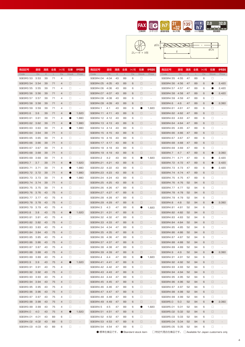





| 商品記号           | 直径     | 溝長            | 全長 | シャンク径          | 在庫           | 参考価格                     | 商品記号           | 直径    | 溝長            | 全長 | シャンク怪  | 在庫     | 参考価格                     | 商品記号           | 直径   | 溝長            | 全長 | シャンク径 | 在庫           | 参考価格                     |
|----------------|--------|---------------|----|----------------|--------------|--------------------------|----------------|-------|---------------|----|--------|--------|--------------------------|----------------|------|---------------|----|-------|--------------|--------------------------|
| Code           | Dc     | $\mathcal{Q}$ | L  | Ds             | <b>Stock</b> | Price                    | Code           | Dc    | $\mathcal{Q}$ | L  | $\Box$ | Stock  | Price                    | Code           | Dc   | $\mathcal{Q}$ | L  | Ds    | <b>Stock</b> | Price                    |
| SGESR3.53      | 3.53   | 39            | 71 | 4              | $\Box$       |                          | SGESR4.04      | 4.04  | 43            | 89 | 6      | □      |                          | SGESR4.55      | 4.55 | 47            | 89 | 6     | □            |                          |
| SGESR3.54 3.54 |        | 39            | 71 | $\overline{4}$ | □            |                          | SGESR4.05      | 4.05  | 43            | 89 | 6      | □      |                          | SGESR4.56      | 4.56 | 47            | 89 | 6     | ●            | 2,420                    |
| SGESR3.55      | 3.55   | 39            | 71 | 4              | □            |                          | SGESR4.06      | 4.06  | 43            | 89 | 6      | □      |                          | SGESR4.57      | 4.57 | 47            | 89 | 6     | a            | 2,420                    |
| SGESR3.56      | - 3.56 | 39            | 71 | 4              | □            |                          | SGESR4.07      | 4.07  | 43            | 89 | 6      | □      |                          | SGESR4.58      | 4.58 | 47            | 89 | 6     | O            | 2,420                    |
| SGESR3.57      | 3.57   | 39            | 71 | 4              | □            |                          | SGESR4.08      | 4.08  | 43            | 89 | 6      | □      |                          | SGESR4.59      | 4.59 | 47            | 89 | 6     | □            |                          |
| SGESR3.58      | -3.58  | 39            | 71 | 4              | $\Box$       |                          | SGESR4.09      | 4.09  | 43            | 89 | 6      | □      | $\overline{a}$           | SGESR4.6       | 4.6  | 47            | 89 | 6     | O            | 2,060                    |
| SGESR3.59      | 3.59   | 39            | 71 | 4              | □            | $\sim$                   | SGESR4.1       | 4.1   | 43            | 89 | 6      | Œ      | 1,820                    | SGESR4.61      | 4.61 | 47            | 89 | 6     | □            |                          |
| SGESR3.6       | 3.6    | 39            | 71 | 4              | 0            | 1,620                    | SGESR4.11      | 4.11  | 43            | 89 | 6      | □      |                          | SGESR4.62      | 4.62 | 47            | 89 | 6     | □            |                          |
| SGESR3.61      | 3.61   | 39            | 71 | 4              | 0            | 1,880                    | SGESR4.12      | 4.12  | 43            | 89 | 6      | □      |                          | SGESR4.63      | 4.63 | 47            | 89 | 6     | □            |                          |
| SGESR3.62      | 3.62   | 39            | 71 | 4              | O            | 1,880                    | SGESR4.13      | 4.13  | 43            | 89 | 6      | □      |                          | SGESR4.64      | 4.64 | 47            | 89 | 6     | □            |                          |
| SGESR3.63      | 3.63   | 39            | 71 | 4              | $\bullet$    | 1,880                    | SGESR4.14      | 4.14  | 43            | 89 | 6      | □      |                          | SGESR4.65      | 4.65 | 47            | 89 | 6     | □            |                          |
| SGESR3.64      | 3.64   | 39            | 71 | $\overline{4}$ | □            |                          | SGESR4.15      | 4.15  | 43            | 89 | 6      | □      |                          | SGESR4.66      | 4.66 | 47            | 89 | 6     | □            |                          |
|                |        |               |    |                | $\Box$       |                          |                |       |               |    |        |        |                          |                |      |               |    |       | □            |                          |
| SGESR3.65      | 3.65   | 39            | 71 | 4              |              |                          | SGESR4.16      | 4.16  | 43            | 89 | 6      | □      |                          | SGESR4.67      | 4.67 | 47            | 89 | 6     |              |                          |
| SGESR3.66      | 3.66   | 39            | 71 | 4              | □            |                          | SGESR4.17      | 4.17  | 43            | 89 | 6      | □      |                          | SGESR4.68      | 4.68 | 47            | 89 | 6     | □            |                          |
| SGESR3.67      | 3.67   | 39            | 71 | 4              | $\Box$       |                          | SGESR4.18      | 4.18  | 43            | 89 | 6      | □      |                          | SGESR4.69      | 4.69 | 47            | 89 | 6     | □            |                          |
| SGESR3.68      | 3.68   | 39            | 71 | 4              | □            |                          | SGESR4.19      | 4.19  | 43            | 89 | 6      | □      |                          | SGESR4.7       | 4.7  | 47            | 89 | 6     | 0            | 2,060                    |
| SGESR3.69      | 3.69   | 39            | 71 | 4              | □            |                          | SGESR4.2       | 4.2   | 43            | 89 | 6      | Œ      | 1,820                    | SGESR4.71      | 4.71 | 47            | 89 | 6     | 0            | 2,420                    |
| SGESR3.7       | 3.7    | 39            | 71 | 4              | 0            | 1,620                    | SGESR4.21      | 4.21  | 43            | 89 | 6      | □      |                          | SGESR4.72      | 4.72 | 47            | 89 | 6     | O            | 2,420                    |
| SGESR3.71      | 3.71   | 39            | 71 | 4              | $\bullet$    | 1,880                    | SGESR4.22      | 4.22  | 43            | 89 | 6      | □      |                          | SGESR4.73      | 4.73 | 47            | 89 | 6     | O            | 2,420                    |
| SGESR3.72 3.72 |        | 39            | 71 | 4              | O            | 1,880                    | SGESR4.23      | 4.23  | 43            | 89 | 6      | $\Box$ |                          | SGESR4.74      | 4.74 | 47            | 89 | 6     | $\Box$       |                          |
| SGESR3.73      | 3.73   | 39            | 71 | 4              | $\bullet$    | 1,880                    | SGESR4.24      | 4.24  | 43            | 89 | 6      | □      |                          | SGESR4.75      | 4.75 | 47            | 89 | 6     | □            |                          |
| SGESR3.74 3.74 |        | 39            | 71 | $\overline{4}$ | $\Box$       |                          | SGESR4.25      | 4.25  | 43            | 89 | 6      | □      |                          | SGESR4.76      | 4.76 | 52            | 94 | 6     | $\Box$       |                          |
| SGESR3.75      | 3.75   | 39            | 71 | 4              | $\Box$       |                          | SGESR4.26      | 4.26  | 47            | 89 | 6      | □      |                          | SGESR4.77      | 4.77 | 52            | 94 | 6     | □            |                          |
| SGESR3.76 3.76 |        | 43            | 75 | 4              | $\Box$       |                          | SGESR4.27 4.27 |       | 47            | 89 | 6      | $\Box$ | $\overline{\phantom{0}}$ | SGESR4.78      | 4.78 | 52            | 94 | 6     | $\Box$       |                          |
| SGESR3.77 3.77 |        | 43            | 75 | 4              | $\Box$       |                          | SGESR4.28      | 4.28  | 47            | 89 | 6      | □      |                          | SGESR4.79      | 4.79 | 52            | 94 | 6     | □            |                          |
| SGESR3.78 3.78 |        | 43            | 75 | 4              | $\Box$       |                          | SGESR4.29      | 4.29  | 47            | 89 | 6      | $\Box$ | $\overline{\phantom{a}}$ | SGESR4.8       | 4.8  | 52            | 94 | 6     | O            | 2,060                    |
| SGESR3.79      | 3.79   | 43            | 75 | 4              | $\Box$       |                          | SGESR4.3       | 4.3   | 47            | 89 | 6      | Œ      | 1,820                    | SGESR4.81      | 4.81 | 52            | 94 | 6     | □            |                          |
| SGESR3.8       | 3.8    | 43            | 75 | 4              | 0            | 1,620                    | SGESR4.31      | 4.31  | 47            | 89 | 6      | $\Box$ |                          | SGESR4.82      | 4.82 | 52            | 94 | 6     | $\Box$       |                          |
| SGESR3.81      | 3.81   | 43            | 75 | 4              | $\Box$       |                          | SGESR4.32      | 4.32  | 47            | 89 | 6      | □      |                          | SGESR4.83      | 4.83 | 52            | 94 | 6     | □            |                          |
|                |        | 43            | 75 | 4              | $\Box$       |                          |                |       | 47            | 89 | 6      | $\Box$ |                          |                |      | 52            | 94 |       | $\Box$       |                          |
| SGESR3.82 3.82 |        |               |    |                |              |                          | SGESR4.33      | 4.33  |               |    |        |        | $\overline{\phantom{0}}$ | SGESR4.84      | 4.84 |               |    | 6     |              |                          |
| SGESR3.83      | 3.83   | 43            | 75 | 4              | $\Box$       |                          | SGESR4.34      | 4.34  | 47            | 89 | 6      | □      |                          | SGESR4.85      | 4.85 | 52            | 94 | 6     | $\Box$       |                          |
| SGESR3.84 3.84 |        | 43            | 75 | 4              | $\Box$       |                          | SGESR4.35      | -4.35 | 47            | 89 | 6      | $\Box$ | $\overline{\phantom{0}}$ | SGESR4.86      | 4.86 | 52            | 94 | 6     | $\Box$       |                          |
| SGESR3.85      | 3.85   | 43            | 75 | 4              | $\Box$       |                          | SGESR4.36      | 4.36  | 47            | 89 | 6      | □      |                          | SGESR4.87      | 4.87 | 52            | 94 | 6     | □            |                          |
| SGESR3.86 3.86 |        | 43            | 75 | 4              | □            |                          | SGESR4.37 4.37 |       | 47            | 89 | 6      | $\Box$ |                          | SGESR4.88      | 4.88 | 52            | 94 | 6     | □            |                          |
| SGESR3.87      | 3.87   | 43            | 75 | 4              | □            |                          | SGESR4.38      | 4.38  | 47            | 89 | 6      | □      |                          | SGESR4.89      | 4.89 | 52            | 94 | 6     | □            |                          |
| SGESR3.88      | 3.88   | 43            | 75 | 4              | $\Box$       |                          | SGESR4.39      | 4.39  | 47            | 89 | 6      | $\Box$ |                          | SGESR4.9       | 4.9  | 52            | 94 | 6     |              | 2,060                    |
| SGESR3.89 3.89 |        | 43            | 75 | 4              | $\Box$       | $\sim$                   | SGESR4.4       | 4.4   | 47            | 89 | 6      |        | 1,820                    | SGESR4.91 4.91 |      | 52            | 94 | 6     | $\Box$       |                          |
| SGESR3.9       | 3.9    | 43            | 75 | 4              | O            | 1,620                    | SGESR4.41 4.41 |       | 47            | 89 | 6      | □      | $\overline{\phantom{a}}$ | SGESR4.92 4.92 |      | 52            | 94 | 6     | $\Box$       |                          |
| SGESR3.91 3.91 |        | 43            | 75 | 4              | $\Box$       | $\sim$                   | SGESR4.42 4.42 |       | 47            | 89 | 6      | $\Box$ | ×,                       | SGESR4.93 4.93 |      | 52            | 94 | 6     | $\Box$       |                          |
| SGESR3.92 3.92 |        | 43            | 75 | 4              | $\Box$       | $\sim 100$               | SGESR4.43 4.43 |       | 47            | 89 | 6      | 0      | $\overline{\phantom{a}}$ | SGESR4.94 4.94 |      | 52            | 94 | 6     | $\Box$       |                          |
| SGESR3.93 3.93 |        | 43            | 75 | 4              | $\Box$       | $\sim$                   | SGESR4.44 4.44 |       | 47            | 89 | 6      | □      | $\overline{\phantom{a}}$ | SGESR4.95 4.95 |      | 52            | 94 | 6     | $\Box$       |                          |
| SGESR3.94 3.94 |        | 43            | 75 | 4              | $\Box$       | $\sim 100$               | SGESR4.45 4.45 |       | 47            | 89 | 6      | 0      | $\overline{\phantom{a}}$ | SGESR4.96      | 4.96 | 52            | 94 | 6     | $\Box$       |                          |
| SGESR3.95 3.95 |        | 43            | 75 | 4              | $\Box$       | $\overline{\phantom{a}}$ | SGESR4.46 4.46 |       | 47            | 89 | 6      | □      | $\overline{\phantom{a}}$ | SGESR4.97 4.97 |      | 52            | 94 | 6     | $\Box$       |                          |
| SGESR3.96 3.96 |        | 43            | 75 | 4              | $\Box$       | $\sim 100$               | SGESR4.47 4.47 |       | 47            | 89 | 6      | $\Box$ | $\overline{\phantom{a}}$ | SGESR4.98 4.98 |      | 52            | 94 | 6     | $\Box$       | $\overline{\phantom{a}}$ |
| SGESR3.97 3.97 |        | 43            | 75 | 4              | $\Box$       | $\sim$                   | SGESR4.48 4.48 |       | 47            | 89 | 6      | □      | $\overline{\phantom{a}}$ | SGESR4.99      | 4.99 | 52            | 94 | 6     | $\Box$       |                          |
| SGESR3.98 3.98 |        | 43            | 75 | 4              | $\Box$       | $\sim 100$               | SGESR4.49 4.49 |       | 47            | 89 | 6      | $\Box$ | $\overline{\phantom{a}}$ | SGESR5.0       | 5.0  | 52            | 94 | 6     | $\bullet$    | 2,060                    |
| SGESR3.99 3.99 |        | 43            | 75 | 4              | $\Box$       | $\sim$                   | SGESR4.5       | 4.5   | 47            | 89 | 6      |        | 1,820                    | SGESR5.01 5.01 |      | 52            | 94 | 6     | □            |                          |
| SGESR4.0       | 4.0    | 43            | 75 | 4              | $\bullet$    | 1,620                    | SGESR4.51 4.51 |       | 47            | 89 | 6      | 0      | $\overline{\phantom{a}}$ | SGESR5.02 5.02 |      | 52            | 94 | 6     | $\Box$       | $\overline{\phantom{a}}$ |
| SGESR4.01 4.01 |        | 43            | 89 | 6              | $\Box$       | $\sim$                   | SGESR4.52 4.52 |       | 47            | 89 | 6      | □      | ×,                       | SGESR5.03 5.03 |      | 52            | 94 | 6     | □            |                          |
|                |        |               |    |                |              |                          |                |       |               |    |        |        |                          |                |      |               |    |       |              |                          |
| SGESR4.02 4.02 |        | 43            | 89 | 6              | $\Box$       | $\overline{\phantom{a}}$ | SGESR4.53 4.53 |       | 47            | 89 | 6      | $\Box$ | $\overline{\phantom{a}}$ | SGESR5.04 5.04 |      | 52            | 94 | 6     | $\Box$       | $\sim$                   |
| SGESR4.03 4.03 |        | 43            | 89 | 6              | $\Box$       | $\sim$                   | SGESR4.54 4.54 |       | 47            | 89 | 6      | $\Box$ | $\sim$                   | SGESR5.05 5.05 |      | 52            | 94 | 6     | $\Box$       | $\sim$                   |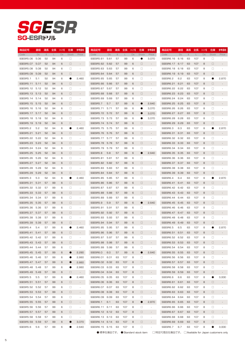# SG-ESR *SGESR*

| 商品記号                  | 直径   | 溝長     | 全長           | シャンク径 | 在庫           | 参考価格                     | 商品記号             | 直径   | 溝長     | 全長  | シャンク径 | 在庫           | 参考価格                     | 商品記号           | 直径   | 溝長     | 全長  | シャンク径 | 在庫           | 参考価格                     |
|-----------------------|------|--------|--------------|-------|--------------|--------------------------|------------------|------|--------|-----|-------|--------------|--------------------------|----------------|------|--------|-----|-------|--------------|--------------------------|
| Code                  | Dc   | $\ell$ | $\mathbf{L}$ | Ds    | <b>Stock</b> | Price                    | Code             | Dc   | $\ell$ | L   | Ds    | <b>Stock</b> | Price                    | Code           | Dc   | $\ell$ | ш   | Ds    | <b>Stock</b> | Price                    |
| SGESR5.06             | 5.06 | 52     | 94           | 6     | □            |                          | SGESR5.61        | 5.61 | 57     | 99  | 6     | 0            | 3,070                    | SGESR6.16      | 6.16 | 63     | 107 | 8     | □            |                          |
| SGESR5.07             | 5.07 | 52     | 94           | 6     | $\Box$       |                          | SGESR5.62        | 5.62 | 57     | 99  | 6     | □            | $\overline{\phantom{a}}$ | SGESR6.17 6.17 |      | 63     | 107 | 8     | □            |                          |
| SGESR5.08             | 5.08 | 52     | 94           | 6     | □            |                          | SGESR5.63        | 5.63 | 57     | 99  | 6     | $\Box$       |                          | SGESR6.18      | 6.18 | 63     | 107 | 8     | □            |                          |
| SGESR5.09             | 5.09 | 52     | 94           | 6     | $\Box$       |                          | SGESR5.64        | 5.64 | 57     | 99  | 6     | □            |                          | SGESR6.19      | 6.19 | 63     | 107 | 8     | □            |                          |
| SGESR5.1              | 5.1  | 52     | 94           | 6     |              | 2,460                    | SGESR5.65        | 5.65 | 57     | 99  | 6     | $\Box$       |                          | SGESR6.2       | 6.2  | 63     | 107 | 8     | $\bullet$    | 2,870                    |
| <b>SGESR5.11</b>      | 5.11 | 52     | 94           | 6     | 0            |                          | SGESR5.66        | 5.66 | 57     | 99  | 6     | □            |                          | SGESR6.21      | 6.21 | 63     | 107 | 8     | $\Box$       |                          |
| SGESR5.12             | 5.12 | 52     | 94           | 6     | □            |                          | SGESR5.67        | 5.67 | 57     | 99  | 6     | $\Box$       |                          | SGESR6.22      | 6.22 | 63     | 107 | 8     | □            |                          |
| SGESR5.13 5.13        |      | 52     | 94           | 6     | □            |                          | SGESR5.68        | 5.68 | 57     | 99  | 6     | □            |                          | SGESR6.23      | 6.23 | 63     | 107 | 8     | $\Box$       |                          |
| SGESR5.14 5.14        |      | 52     | 94           | 6     | □            |                          | SGESR5.69        | 5.69 | 57     | 99  | 6     | □            |                          | SGESR6.24      | 6.24 | 63     | 107 | 8     | □            |                          |
| SGESR5.15 5.15        |      | 52     | 94           | 6     | 0            |                          | SGESR5.7         | 5.7  | 57     | 99  | 6     | ●            | 2,640                    | SGESR6.25      | 6.25 | 63     | 107 | 8     | $\Box$       |                          |
| SGESR5.16             | 5.16 | 52     | 94           | 6     | □            |                          | SGESR5.71        | 5.71 | 57     | 99  | 6     |              | 3,070                    | SGESR6.26      | 6.26 | 63     | 107 | 8     | □            |                          |
| SGESR5.17 5.17        |      | 52     | 94           | 6     | $\Box$       |                          | SGESR5.72 5.72   |      | 57     | 99  | 6     |              | 3,070                    | SGESR6.27 6.27 |      | 63     | 107 | 8     | □            |                          |
| SGESR5.18             | 5.18 | 52     | 94           | 6     | □            |                          | SGESR5.73 5.73   |      | 57     | 99  | 6     | O            | 3,070                    | SGESR6.28      | 6.28 | 63     | 107 | 8     | □            |                          |
| SGESR5.19             | 5.19 | 52     | 94           | 6     | $\Box$       |                          | SGESR5.74 5.74   |      | 57     | 99  | 6     | 0            |                          | SGESR6.29      | 6.29 | 63     | 107 | 8     | □            |                          |
| SGESR5.2              | 5.2  | 52     | 94           | 6     | Œ            | 2,460                    | SGESR5.75 5.75   |      | 57     | 99  | 6     | □            |                          | SGESR6.3       | 6.3  | 63     | 107 | 8     | 0            | 2,870                    |
| SGESR5.21             | 5.21 | 52     | 94           | 6     | $\Box$       |                          | SGESR5.76 5.76   |      | 57     | 99  | 6     | □            | $\overline{\phantom{a}}$ | SGESR6.31      | 6.31 | 63     | 107 | 8     | □            |                          |
| SGESR5.22             | 5.22 | 52     | 94           | 6     | □            |                          | SGESR5.77 5.77   |      | 57     | 99  | 6     | □            |                          | SGESR6.32      | 6.32 | 63     | 107 | 8     | □            |                          |
| SGESR5.23             | 5.23 | 52     | 94           | 6     | $\Box$       |                          | SGESR5.78 5.78   |      | 57     | 99  | 6     | □            |                          | SGESR6.33      | 6.33 | 63     | 107 | 8     | □            |                          |
| SGESR5.24 5.24        |      | 52     | 94           | 6     | □            |                          | SGESR5.79        | 5.79 | 57     | 99  | 6     | □            |                          | SGESR6.34 6.34 |      | 63     | 107 | 8     | □            |                          |
| SGESR5.25 5.25        |      | 52     | 94           | 6     | $\Box$       |                          | SGESR5.8         | 5.8  | 57     | 99  | 6     | ●            | 2,640                    | SGESR6.35      | 6.35 | 63     | 107 | 8     | □            |                          |
| SGESR5.26             | 5.26 | 52     | 94           | 6     | □            |                          | SGESR5.81        | 5.81 | 57     | 99  | 6     | □            |                          | SGESR6.36      | 6.36 | 63     | 107 | 8     | □            |                          |
| SGESR5.27             | 5.27 | 52     | 94           | 6     | $\Box$       |                          | SGESR5.82        | 5.82 | 57     | 99  | 6     | □            |                          | SGESR6.37      | 6.37 | 63     | 107 | 8     | □            |                          |
| SGESR5.28             | 5.28 | 52     | 94           | 6     | □            |                          | SGESR5.83        | 5.83 | 57     | 99  | 6     | □            |                          | SGESR6.38      | 6.38 | 63     | 107 | 8     | □            |                          |
| SGESR5.29             | 5.29 | 52     | 94           | 6     | $\Box$       |                          | SGESR5.84        | 5.84 | 57     | 99  | 6     | □            |                          | SGESR6.39      | 6.39 | 63     | 107 | 8     | □            |                          |
| SGESR5.3              | 5.3  | 52     | 94           | 6     | ●            | 2,460                    | SGESR5.85 5.85   |      | 57     | 99  | 6     | □            |                          | SGESR6.4       | 6.4  | 63     | 107 | 8     | $\bullet$    | 2,870                    |
|                       |      |        | 99           | 6     | $\Box$       |                          |                  |      |        |     | 6     |              |                          |                |      |        |     | 8     | $\Box$       |                          |
| SGESR5.31             | 5.31 | 57     |              |       |              |                          | SGESR5.86        | 5.86 | 57     | 99  |       | □            |                          | SGESR6.41      | 6.41 | 63     | 107 |       |              |                          |
| SGESR5.32             | 5.32 | 57     | 99           | 6     | 0            |                          | SGESR5.87        | 5.87 | 57     | 99  | 6     | □            |                          | SGESR6.42      | 6.42 | 63     | 107 | 8     | □            |                          |
| SGESR5.33             | 5.33 | 57     | 99           | 6     | $\Box$       |                          | SGESR5.88        | 5.88 | 57     | 99  | 6     | □            |                          | SGESR6.43      | 6.43 | 63     | 107 | 8     | □            |                          |
| SGESR5.34             | 5.34 | 57     | 99           | 6     | 0            |                          | SGESR5.89        | 5.89 | 57     | 99  | 6     | □            |                          | SGESR6.44      | 6.44 | 63     | 107 | 8     | □            |                          |
| SGESR5.35             | 5.35 | 57     | 99           | 6     | $\Box$       |                          | SGESR5.9         | 5.9  | 57     | 99  | 6     | $\bullet$    | 2,640                    | SGESR6.45      | 6.45 | 63     | 107 | 8     | □            |                          |
| SGESR5.36             | 5.36 | 57     | 99           | 6     | 0            |                          | SGESR5.91        | 5.91 | 57     | 99  | 6     | □            |                          | SGESR6.46      | 6.46 | 63     | 107 | 8     | □            |                          |
| SGESR5.37             | 5.37 | 57     | 99           | 6     | $\Box$       |                          | <b>SGESR5.92</b> | 5.92 | 57     | 99  | 6     | □            |                          | SGESR6.47      | 6.47 | 63     | 107 | 8     | □            |                          |
| SGESR5.38             | 5.38 | 57     | 99           | 6     | 0            |                          | SGESR5.93        | 5.93 | 57     | 99  | 6     | □            |                          | SGESR6.48      | 6.48 | 63     | 107 | 8     | □            |                          |
| SGESR5.39             | 5.39 | 57     | 99           | 6     | $\Box$       |                          | SGESR5.94        | 5.94 | 57     | 99  | 6     | □            |                          | SGESR6.49      | 6.49 | 63     | 107 | 8     | □            |                          |
| SGESR5.4              | 5.4  | 57     | 99           | 6     |              | 2,460                    | SGESR5.95        | 5.95 | 57     | 99  | 6     | □            |                          | SGESR6.5       | 6.5  | 63     | 107 | 8     | $\bullet$    | 2,870                    |
| SGESR <sub>5.41</sub> | 5.41 | 57     | 99           | 6     | П.           |                          | SGESR5.96 5.96   |      | 57     | 99  | 6     | □            |                          | SGESR6.51 6.51 |      | 63     | 107 | 8     | □            |                          |
| SGESR5.42 5.42        |      | 57     | 99           | 6     | □            | $\overline{\phantom{a}}$ | SGESR5.97 5.97   |      | 57     | 99  | 6     | □            |                          | SGESR6.52 6.52 |      | 63     | 107 | 8     | □            |                          |
| SGESR5.43             | 5.43 | 57     | 99           | 6     | $\Box$       |                          | SGESR5.98        | 5.98 | 57     | 99  | 6     | $\Box$       |                          | SGESR6.53      | 6.53 | 63     | 107 | 8     | □            |                          |
| SGESR5.44             | 5.44 | 57     | 99           | 6     | $\Box$       | $\overline{\phantom{a}}$ | SGESR5.99        | 5.99 | 57     | 99  | 6     | □            | $\overline{\phantom{a}}$ | SGESR6.54      | 6.54 | 63     | 107 | 8     | □            |                          |
| SGESR5.45             | 5.45 | 57     | 99           | 6     | $\bullet$    | 2,290                    | SGESR6.0         | 6.0  | 57     | 99  | 6     | $\bullet$    | 2,640                    | SGESR6.55      | 6.55 | 63     | 107 | 8     | □            |                          |
| SGESR5.46             | 5.46 | 57     | 99           | 6     | $\bullet$    | 2,660                    | SGESR6.01        | 6.01 | 63     | 107 | 8     | □            | ٠                        | SGESR6.56      | 6.56 | 63     | 107 | 8     | □            |                          |
| SGESR5.47             | 5.47 | 57     | 99           | 6     | $\bullet$    | 2,660                    | SGESR6.02        | 6.02 | 63     | 107 | 8     | $\Box$       | $\overline{\phantom{a}}$ | SGESR6.57 6.57 |      | 63     | 107 | 8     | □            |                          |
| SGESR5.48             | 5.48 | 57     | 99           | 6     | $\bullet$    | 2,660                    | SGESR6.03        | 6.03 | 63     | 107 | 8     | □            | $\sim$                   | SGESR6.58      | 6.58 | 63     | 107 | 8     | □            |                          |
| SGESR5.49             | 5.49 | 57     | 99           | 6     | $\Box$       |                          | SGESR6.04        | 6.04 | 63     | 107 | 8     | $\Box$       | $\overline{\phantom{a}}$ | SGESR6.59      | 6.59 | 63     | 107 | 8     | □            | $\overline{\phantom{a}}$ |
| SGESR5.5              | 5.5  | 57     | 99           | 6     | $\bullet$    | 2,460                    | SGESR6.05        | 6.05 | 63     | 107 | 8     | □            | $\overline{\phantom{a}}$ | SGESR6.6       | 6.6  | 63     | 107 | 8     | $\bullet$    | 3,000                    |
| SGESR5.51             | 5.51 | 57     | 99           | 6     | $\Box$       | $\sim$                   | SGESR6.06        | 6.06 | 63     | 107 | 8     | $\Box$       | $\overline{\phantom{a}}$ | SGESR6.61      | 6.61 | 63     | 107 | 8     | □            | $\overline{\phantom{a}}$ |
| <b>SGESR5.52</b>      | 5.52 | 57     | 99           | 6     | $\Box$       | $\overline{\phantom{a}}$ | SGESR6.07        | 6.07 | 63     | 107 | 8     | $\Box$       | $\sim$                   | SGESR6.62      | 6.62 | 63     | 107 | 8     | □            |                          |
| SGESR5.53             | 5.53 | 57     | 99           | 6     | $\Box$       | $\overline{\phantom{a}}$ | SGESR6.08        | 6.08 | 63     | 107 | 8     | $\Box$       | $\overline{\phantom{a}}$ | SGESR6.63      | 6.63 | 63     | 107 | 8     | □            | $\overline{\phantom{a}}$ |
| SGESR5.54             | 5.54 | 57     | 99           | 6     | $\Box$       | $\sim$                   | SGESR6.09        | 6.09 | 63     | 107 | 8     | □            | ×,                       | SGESR6.64      | 6.64 | 63     | 107 | 8     | □            |                          |
| SGESR5.55 5.55        |      | 57     | 99           | 6     | $\Box$       | $\overline{\phantom{a}}$ | SGESR6.1         | 6.1  | 63     | 107 | 8     | $\bullet$    | 2,870                    | SGESR6.65      | 6.65 | 63     | 107 | 8     | □            | $\overline{\phantom{a}}$ |
| SGESR5.56             | 5.56 | 57     | 99           | 6     | $\Box$       | $\overline{\phantom{a}}$ | SGESR6.11        | 6.11 | 63     | 107 | 8     | □            | ٠                        | SGESR6.66      | 6.66 | 63     | 107 | 8     | □            |                          |
| SGESR5.57 5.57        |      | 57     | 99           | 6     | $\Box$       | $\overline{\phantom{a}}$ | SGESR6.12 6.12   |      | 63     | 107 | 8     | $\Box$       | $\overline{\phantom{a}}$ | SGESR6.67 6.67 |      | 63     | 107 | 8     | □            | $\overline{\phantom{a}}$ |
| SGESR5.58             | 5.58 | 57     | 99           | 6     | $\Box$       | $\overline{\phantom{a}}$ | SGESR6.13 6.13   |      | 63     | 107 | 8     | $\Box$       | ×,                       | SGESR6.68      | 6.68 | 63     | 107 | 8     | □            |                          |
| <b>SGESR5.59</b>      | 5.59 | 57     | 99           | 6     | $\bullet$    | 3,070                    | SGESR6.14 6.14   |      | 63     | 107 | 8     | $\Box$       | $\overline{\phantom{a}}$ | SGESR6.69      | 6.69 | 63     | 107 | 8     | □            | $\overline{\phantom{a}}$ |
| SGESR5.6              | 5.6  | 57     | 99           | 6     | 0            | 2,640                    | SGESR6.15 6.15   |      | 63     | 107 | 8     | $\Box$       | ÷,                       | SGESR6.7       | 6.7  | 63     | 107 | 8     | $\bullet$    | 3,000                    |
|                       |      |        |              |       |              |                          |                  |      |        |     |       |              |                          |                |      |        |     |       |              |                          |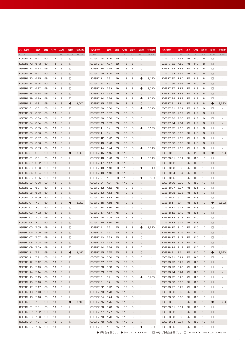| 商品記号              | 直径     | 溝長     | 全長 沙?隆 |    | 在庫           | 参考価格                     | 商品記号           | 直径     | 溝長     | 全長  | シャンク径 | 在庫     | 参考価格                     | 商品記号              | 直径        | 溝長全長   |     | シャンク径           | 在庫           | 参考価格                     |
|-------------------|--------|--------|--------|----|--------------|--------------------------|----------------|--------|--------|-----|-------|--------|--------------------------|-------------------|-----------|--------|-----|-----------------|--------------|--------------------------|
| Code              | Dc     | $\ell$ | L      | Ds | <b>Stock</b> | Price                    | Code           | Dc     | $\ell$ | L   | Ds    | Stock  | Price                    | Code              | <b>Dc</b> | $\ell$ | L   | Ds              | <b>Stock</b> | Price                    |
| SGESR6.71         | 6.71   | 69     | 113    | 8  | □            |                          | SGESR7.26      | 7.26   | 69     | 113 | 8     | $\Box$ |                          | SGESR7.81         | 7.81      | 75     | 119 | 8               | $\Box$       |                          |
| SGESR6.72         | 6.72   | 69     | 113    | 8  | □            |                          | SGESR7.27 7.27 |        | 69     | 113 | 8     | $\Box$ |                          | SGESR7.82         | 7.82      | 75     | 119 | 8               | □            |                          |
| SGESR6.73         | 6.73   | 69     | 113    | 8  | □            |                          | SGESR7.28      | 7.28   | 69     | 113 | 8     | $\Box$ |                          | SGESR7.83         | 7.83      | 75     | 119 | 8               | □            |                          |
| SGESR6.74         | 6.74   | 69     | 113    | 8  | □            |                          | SGESR7.29      | 7.29   | 69     | 113 | 8     | $\Box$ |                          | SGESR7.84         | 7.84      | 75     | 119 | 8               | □            |                          |
| SGESR6.75         | 6.75   | 69     | 113    | 8  | □            |                          | SGESR7.3       | 7.3    | 69     | 113 | 8     | Œ      | 3,190                    | SGESR7.85         | 7.85      | 75     | 119 | 8               | □            |                          |
| SGESR6.76 6.76    |        | 69     | 113    | 8  | □            |                          | SGESR7.31      | 7.31   | 69     | 113 | 8     | $\Box$ |                          | SGESR7.86         | 7.86      | 75     | 119 | 8               | □            |                          |
| SGESR6.77 6.77    |        | 69     | 113    | 8  | □            |                          | SGESR7.32 7.32 |        | 69     | 113 | 8     | œ      | 3,510                    | SGESR7.87 7.87    |           | 75     | 119 | 8               | □            |                          |
| SGESR6.78         | 6.78   | 69     | 113    | 8  | □            |                          | SGESR7.33 7.33 |        | 69     | 113 | 8     | $\Box$ |                          | SGESR7.88         | 7.88      | 75     | 119 | 8               | □            |                          |
| SGESR6.79         | 6.79   | 69     | 113    | 8  | □            |                          | SGESR7.34 7.34 |        | 69     | 113 | 8     | Œ      | 3,510                    | SGESR7.89         | 7.89      | 75     | 119 | 8               | □            |                          |
| SGESR6.8          | 6.8    | 69     | 113    | 8  | O            | 3,000                    | SGESR7.35 7.35 |        | 69     | 113 | 8     | $\Box$ |                          | SGESR7.9          | 7.9       | 75     | 119 | 8               | ●            | 3,280                    |
| SGESR6.81         | 6.81   | 69     | 113    | 8  | □            |                          | SGESR7.36      | 7.36   | 69     | 113 | 8     | Œ      | 3,510                    | SGESR7.91         | 7.91      | 75     | 119 | 8               | □            |                          |
| SGESR6.82         | 6.82   | 69     | 113    | 8  | □            |                          | SGESR7.37 7.37 |        | 69     | 113 | 8     | $\Box$ |                          | SGESR7.92         | 7.92      | 75     | 119 | 8               | □            |                          |
| SGESR6.83         | 6.83   | 69     | 113    | 8  | □            |                          | SGESR7.38      | 7.38   | 69     | 113 | 8     | □      |                          | SGESR7.93         | 7.93      | 75     | 119 | 8               | □            |                          |
| SGESR6.84         | 6.84   | 69     | 113    | 8  | □            |                          | SGESR7.39      | 7.39   | 69     | 113 | 8     | $\Box$ |                          | SGESR7.94         | 7.94      | 75     | 119 | 8               | □            |                          |
| SGESR6.85         | 6.85   | 69     | 113    | 8  | □            |                          | SGESR7.4       | 7.4    | 69     | 113 | 8     | œ      | 3,190                    | SGESR7.95         | 7.95      | 75     | 119 | 8               | □            |                          |
| SGESR6.86         | 6.86   | 69     | 113    | 8  | □            |                          | SGESR7.41      | 7.41   | 69     | 113 | 8     | $\Box$ |                          | SGESR7.96         | 7.96      | 75     | 119 | 8               | □            |                          |
| SGESR6.87         | 6.87   | 69     | 113    | 8  | □            |                          | SGESR7.42 7.42 |        | 69     | 113 | 8     | □      |                          | SGESR7.97         | 7.97      | 75     | 119 | 8               | □            |                          |
| SGESR6.88         | 6.88   | 69     | 113    | 8  | □            |                          | SGESR7.43 7.43 |        | 69     | 113 | 8     | $\Box$ |                          | SGESR7.98         | 7.98      | 75     | 119 | 8               | □            |                          |
| SGESR6.89         | 6.89   | 69     | 113    | 8  | □            |                          | SGESR7.44 7.44 |        | 69     | 113 | 8     |        | 3,510                    | SGESR7.99         | 7.99      | 75     | 119 | 8               | □            |                          |
| SGESR6.9          | 6.9    | 69     | 113    | 8  | $\bullet$    | 3,000                    | SGESR7.45      | 7.45   | 69     | 113 | 8     | $\Box$ |                          | SGESR8.0          | 8.0       | 75     | 119 | 8               | $\bullet$    | 3,280                    |
| SGESR6.91         | 6.91   | 69     | 113    | 8  | □            |                          | SGESR7.46      | - 7.46 | 69     | 113 | 8     | œ      | 3,510                    | SGESR8.01         | 8.01      | 75     | 125 | 10              | □            |                          |
| SGESR6.92         | 6.92   | 69     | 113    | 8  | □            |                          | SGESR7.47      | 7.47   | 69     | 113 | 8     | $\Box$ |                          | SGESR8.02         | 8.02      | 75     | 125 | 10              | □            |                          |
| SGESR6.93         | 6.93   | 69     | 113    | 8  | □            |                          | SGESR7.48      | - 7.48 | 69     | 113 | 8     |        | 3,510                    | SGESR8.03         | 8.03      | 75     | 125 | 10              | □            |                          |
| SGESR6.94         | 6.94   | 69     | 113    | 8  | □            |                          | SGESR7.49      | 7.49   | 69     | 113 | 8     | $\Box$ |                          | SGESR8.04         | 8.04      | 75     | 125 | 10              | □            |                          |
| SGESR6.95         | 6.95   | 69     | 113    | 8  | □            |                          | SGESR7.5       | 7.5    | 69     | 113 | 8     |        | 3,190                    | SGESR8.05         | 8.05      | 75     | 125 | 10              | □            |                          |
| SGESR6.96         | 6.96   | 69     | 113    | 8  | □            |                          | SGESR7.51      | 7.51   | 75     | 119 | 8     | $\Box$ |                          | SGESR8.06         | 8.06      | 75     | 125 | 10              | $\Box$       |                          |
| SGESR6.97         | 6.97   | 69     | 113    | 8  | □            |                          | SGESR7.52      | 7.52   | 75     | 119 | 8     | □      |                          | SGESR8.07         | 8.07      | 75     | 125 | 10              | □            |                          |
|                   | 6.98   | 69     | 113    | 8  | □            |                          |                | 7.53   | 75     | 119 | 8     | $\Box$ |                          |                   | 8.08      | 75     | 125 | 10              | $\Box$       |                          |
| SGESR6.98         |        |        |        |    |              |                          | SGESR7.53      |        |        |     |       |        |                          | SGESR8.08         |           |        |     |                 |              |                          |
| SGESR6.99         | 6.99   | 69     | 113    | 8  | □            |                          | SGESR7.54      | 7.54   | 75     | 119 | 8     | $\Box$ |                          | SGESR8.09         | 8.09      | 75     | 125 | 10              | □            |                          |
| SGESR7.0          | 7.0    | 69     | 113    | 8  | $\bullet$    | 3,000                    | SGESR7.55      | 7.55   | 75     | 119 | 8     | $\Box$ |                          | SGESR8.1          | 8.1       | 75     | 125 | 10              | ●            | 3,620                    |
| SGESR7.01         | 7.01   | 69     | 113    | 8  | □            |                          | SGESR7.56      | 7.56   | 75     | 119 | 8     | □      |                          | SGESR8.11         | 8.11      | 75     | 125 | 10              | □            |                          |
| SGESR7.02         | - 7.02 | 69     | 113    | 8  | □            |                          | SGESR7.57      | 7.57   | 75     | 119 | 8     | $\Box$ |                          | SGESR8.12         | 8.12      | 75     | 125 | 10              | □            |                          |
| SGESR7.03         | 7.03   | 69     | 113    | 8  | □            |                          | SGESR7.58      | 7.58   | 75     | 119 | 8     | □      |                          | SGESR8.13         | 8.13      | 75     | 125 | 10              | □            |                          |
| SGESR7.04         | 7.04   | 69     | 113    | 8  | □            |                          | SGESR7.59      | 7.59   | 75     | 119 | 8     | $\Box$ |                          | SGESR8.14         | 8.14      | 75     | 125 | 10              | $\Box$       |                          |
| SGESR7.05 7.05    |        | 69     | 113    | 8  | □            |                          | SGESR7.6       | 7.6    | 75     | 119 | 8     | 0      | 3,280                    | SGESR8.15 8.15    |           | 75     | 125 | 10              | □            |                          |
| SGESR7.06 7.06 69 |        |        | 113    | я  | П            |                          | SGESR7.61 7.61 |        | 75     | 119 | 8     | $\Box$ |                          | SGESR8.16 8.16 75 |           |        | 125 | 10 <sup>1</sup> | $\Box$       |                          |
| SGESR7.07 7.07    |        | 69     | 113    | 8  | □            |                          | SGESR7.62 7.62 |        | 75     | 119 | 8     | □      | ÷,                       | SGESR8.17 8.17    |           | 75     | 125 | 10              | □            |                          |
| SGESR7.08 7.08    |        | 69     | 113    | 8  | □            | $\overline{\phantom{a}}$ | SGESR7.63 7.63 |        | 75     | 119 | 8     | $\Box$ | $\overline{\phantom{a}}$ | SGESR8.18         | 8.18      | 75     | 125 | 10              | $\Box$       |                          |
| SGESR7.09 7.09    |        | 69     | 113    | 8  | □            | $\overline{\phantom{a}}$ | SGESR7.64 7.64 |        | 75     | 119 | 8     | $\Box$ | $\overline{\phantom{a}}$ | SGESR8.19         | 8.19      | 75     | 125 | 10              | $\Box$       |                          |
| SGESR7.1          | 7.1    | 69     | 113    | 8  | $\bullet$    | 3,190                    | SGESR7.65 7.65 |        | 75     | 119 | 8     | $\Box$ | $\overline{\phantom{a}}$ | SGESR8.2          | 8.2       | 75     | 125 | 10              | $\bullet$    | 3,620                    |
| SGESR7.11 7.11    |        | 69     | 113    | 8  | $\Box$       |                          | SGESR7.66      | 7.66   | 75     | 119 | 8     | $\Box$ | $\sim$                   | SGESR8.21         | 8.21      | 75     | 125 | 10              | $\Box$       |                          |
| SGESR7.12 7.12    |        | 69     | 113    | 8  | □            | $\overline{\phantom{a}}$ | SGESR7.67 7.67 |        | 75     | 119 | 8     | $\Box$ | $\overline{\phantom{a}}$ | SGESR8.22 8.22    |           | 75     | 125 | 10              | $\Box$       |                          |
| SGESR7.13 7.13    |        | 69     | 113    | 8  | $\Box$       | $\sim$                   | SGESR7.68      | 7.68   | 75     | 119 | 8     | □      | $\overline{\phantom{a}}$ | SGESR8.23         | 8.23      | 75     | 125 | 10              | $\Box$       |                          |
| SGESR7.14 7.14    |        | 69     | 113    | 8  | □            | $\overline{\phantom{a}}$ | SGESR7.69      | 7.69   | 75     | 119 | 8     | $\Box$ | $\overline{\phantom{a}}$ | SGESR8.24 8.24    |           | 75     | 125 | 10              | $\Box$       |                          |
| SGESR7.15 7.15    |        | 69     | 113    | 8  | □            | $\sim$                   | SGESR7.7       | 7.7    | 75     | 119 | 8     |        | 3,280                    | SGESR8.25         | 8.25      | 75     | 125 | 10              | $\Box$       |                          |
| SGESR7.16 7.16    |        | 69     | 113    | 8  | □            | $\overline{\phantom{a}}$ | SGESR7.71 7.71 |        | 75     | 119 | 8     | $\Box$ | $\overline{\phantom{a}}$ | SGESR8.26         | 8.26      | 75     | 125 | 10              | $\Box$       | $\overline{\phantom{a}}$ |
| SGESR7.17 7.17    |        | 69     | 113    | 8  | $\Box$       | $\sim$                   | SGESR7.72 7.72 |        | 75     | 119 | 8     | □      | $\overline{\phantom{a}}$ | SGESR8.27 8.27    |           | 75     | 125 | 10              | $\Box$       |                          |
| SGESR7.18 7.18    |        | 69     | 113    | 8  | □            | $\overline{\phantom{a}}$ | SGESR7.73 7.73 |        | 75     | 119 | 8     | $\Box$ | $\overline{\phantom{a}}$ | SGESR8.28         | 8.28      | 75     | 125 | 10              | $\Box$       | $\overline{\phantom{a}}$ |
| SGESR7.19 7.19    |        | 69     | 113    | 8  | $\Box$       |                          | SGESR7.74 7.74 |        | 75     | 119 | 8     | □      | $\overline{\phantom{a}}$ | SGESR8.29         | 8.29      | 75     | 125 | 10              | $\Box$       |                          |
| SGESR7.2          | 7.2    | 69     | 113    | 8  | $\bullet$    | 3,190                    | SGESR7.75 7.75 |        | 75     | 119 | 8     | $\Box$ | $\overline{\phantom{a}}$ | SGESR8.3          | 8.3       | 75     | 125 | 10              | $\bullet$    | 3,620                    |
| SGESR7.21 7.21    |        | 69     | 113    | 8  | $\Box$       |                          | SGESR7.76 7.76 |        | 75     | 119 | 8     | □      | $\overline{\phantom{a}}$ | SGESR8.31         | 8.31      | 75     | 125 | 10              | $\Box$       |                          |
| SGESR7.22 7.22    |        | 69     | 113    | 8  | $\Box$       | $\overline{\phantom{a}}$ | SGESR7.77 7.77 |        | 75     | 119 | 8     | $\Box$ | $\overline{\phantom{a}}$ | SGESR8.32 8.32    |           | 75     | 125 | 10              | $\Box$       | $\overline{\phantom{a}}$ |
| SGESR7.23 7.23    |        | 69     | 113    | 8  | $\Box$       |                          | SGESR7.78      | 7.78   | 75     | 119 | 8     | □      | ×,                       | SGESR8.33         | 8.33      | 75     | 125 | 10              | $\Box$       |                          |
| SGESR7.24 7.24    |        | 69     | 113    | 8  | □            | $\overline{\phantom{a}}$ | SGESR7.79      | 7.79   | 75     | 119 | 8     | $\Box$ | $\overline{\phantom{a}}$ | SGESR8.34         | 8.34      | 75     | 125 | 10              | $\Box$       | $\overline{\phantom{a}}$ |
| SGESR7.25 7.25    |        | 69     | 113    | 8  | $\Box$       | $\overline{\phantom{a}}$ | SGESR7.8       | 7.8    | 75     | 119 | 8     | 0      | 3,280                    | SGESR8.35 8.35    |           | 75     | 125 | 10              | $\Box$       | $\overline{\phantom{a}}$ |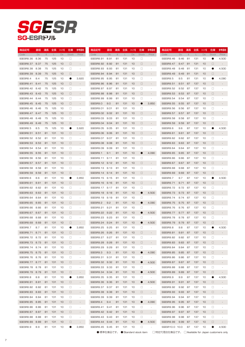# SG-ESR *SGESR*

| 商品記号           | 直径   | 溝長     | 全長           | シャンク径           | 在庫           | 参考価格                     | 商品記号           | 直径   | 溝長     | 全長           | シャンク径 | 在庫        | 参考価格                     | 商品記号           | 直径   | 溝長  | 全長  | シャンク径 | 在庫           | 参考価格                     |
|----------------|------|--------|--------------|-----------------|--------------|--------------------------|----------------|------|--------|--------------|-------|-----------|--------------------------|----------------|------|-----|-----|-------|--------------|--------------------------|
| Code           | Dc   | $\ell$ | $\mathbf{L}$ | Ds              | <b>Stock</b> | Price                    | Code           | Dc   | $\ell$ | $\mathbf{L}$ | Ds.   | Stock     | Price                    | Code           | Dc   | e   |     | Ds    | <b>Stock</b> | Price                    |
| SGESR8.36      | 8.36 | 75     | 125          | 10              | □            |                          | SGESR8.91      | 8.91 | 81     | 131          | 10    | □         |                          | SGESR9.46      | 9.46 | 81  | 131 | 10    | 0            | 4,500                    |
| SGESR8.37      | 8.37 | 75     | 125          | 10              | $\Box$       |                          | SGESR8.92      | 8.92 | 81     | 131          | 10    | □         | $\overline{\phantom{m}}$ | SGESR9.47      | 9.47 | 81  | 131 | 10    | $\Box$       | $\overline{\phantom{a}}$ |
| SGESR8.38      | 8.38 | 75     | 125          | 10              | □            |                          | SGESR8.93      | 8.93 | 81     | 131          | 10    | $\Box$    |                          | SGESR9.48      | 9.48 | 81  | 131 | 10    | $\bullet$    | 4,500                    |
| SGESR8.39      | 8.39 | 75     | 125          | 10              | $\Box$       |                          | SGESR8.94      | 8.94 | 81     | 131          | 10    | □         |                          | SGESR9.49      | 9.49 | 81  | 131 | 10    | $\Box$       |                          |
| SGESR8.4       | 8.4  | 75     | 125          | 10              |              | 3,620                    | SGESR8.95      | 8.95 | 81     | 131          | 10    | $\Box$    |                          | SGESR9.5       | 9.5  | 81  | 131 | 10    | 0            | 4,090                    |
| SGESR8.41      | 8.41 | 75     | 125          | 10              | $\Box$       |                          | SGESR8.96      | 8.96 | 81     | 131          | 10    | □         |                          | SGESR9.51      | 9.51 | 87  | 137 | 10    | $\Box$       |                          |
| SGESR8.42      | 8.42 | 75     | 125          | 10              | □            |                          | SGESR8.97      | 8.97 | 81     | 131          | 10    | $\Box$    |                          | SGESR9.52      | 9.52 | 87  | 137 | 10    | □            |                          |
| SGESR8.43      | 8.43 | 75     | 125          | 10              | $\Box$       |                          | SGESR8.98      | 8.98 | 81     | 131          | 10    | □         |                          | SGESR9.53      | 9.53 | 87  | 137 | 10    | $\Box$       |                          |
| SGESR8.44      | 8.44 | 75     | 125          | 10              | □            |                          | SGESR8.99      | 8.99 | 81     | 131          | 10    | □         |                          | SGESR9.54      | 9.54 | 87  | 137 | 10    | □            |                          |
| SGESR8.45      | 8.45 | 75     | 125          | 10              | $\Box$       |                          | SGESR9.0       | 9.0  | 81     | 131          | 10    | ●         | 3,850                    | SGESR9.55      | 9.55 | 87  | 137 | 10    | $\Box$       |                          |
| SGESR8.46      | 8.46 | 75     | 125          | 10              | □            |                          | SGESR9.01      | 9.01 | 81     | 131          | 10    | □         |                          | SGESR9.56      | 9.56 | 87  | 137 | 10    | □            |                          |
| SGESR8.47      | 8.47 | 75     | 125          | 10              | $\Box$       |                          | SGESR9.02      | 9.02 | 81     | 131          | 10    | □         |                          | SGESR9.57      | 9.57 | 87  | 137 | 10    | $\Box$       |                          |
| SGESR8.48      | 8.48 | 75     | 125          | 10              | □            |                          | SGESR9.03      | 9.03 | 81     | 131          | 10    | □         |                          | SGESR9.58      | 9.58 | 87  | 137 | 10    | □            |                          |
|                |      |        |              |                 |              |                          |                |      |        |              |       |           |                          |                |      |     |     |       |              |                          |
| SGESR8.49      | 8.49 | 75     | 125          | 10              | $\Box$       |                          | SGESR9.04      | 9.04 | 81     | 131          | 10    | □         | $\overline{\phantom{a}}$ | SGESR9.59      | 9.59 | 87  | 137 | 10    | □            |                          |
| SGESR8.5       | 8.5  | 75     | 125          | 10              |              | 3,620                    | SGESR9.05      | 9.05 | 81     | 131          | 10    | □         |                          | SGESR9.6       | 9.6  | 87  | 137 | 10    | 0            | 4,500                    |
| SGESR8.51      | 8.51 | 81     | 131          | 10              | $\Box$       |                          | SGESR9.06      | 9.06 | 81     | 131          | 10    | □         | $\overline{\phantom{a}}$ | SGESR9.61      | 9.61 | 87  | 137 | 10    | □            |                          |
| SGESR8.52      | 8.52 | 81     | 131          | 10              | □            |                          | SGESR9.07      | 9.07 | 81     | 131          | 10    | □         |                          | SGESR9.62      | 9.62 | 87  | 137 | 10    | □            |                          |
| SGESR8.53      | 8.53 | 81     | 131          | 10              | $\Box$       |                          | SGESR9.08      | 9.08 | 81     | 131          | 10    | □         |                          | SGESR9.63      | 9.63 | 87  | 137 | 10    | $\Box$       |                          |
| SGESR8.54      | 8.54 | 81     | 131          | 10              | □            |                          | SGESR9.09      | 9.09 | 81     | 131          | 10    | □         |                          | SGESR9.64      | 9.64 | 87  | 137 | 10    | □            |                          |
| SGESR8.55      | 8.55 | 81     | 131          | 10              | $\Box$       |                          | SGESR9.1       | 9.1  | 81     | 131          | 10    | $\bullet$ | 4,090                    | SGESR9.65      | 9.65 | 87  | 137 | 10    | □            |                          |
| SGESR8.56      | 8.56 | 81     | 131          | 10              | □            |                          | SGESR9.11      | 9.11 | 81     | 131          | 10    | □         |                          | SGESR9.66      | 9.66 | 87  | 137 | 10    | □            |                          |
| SGESR8.57      | 8.57 | 81     | 131          | 10              | $\Box$       |                          | SGESR9.12      | 9.12 | 81     | 131          | 10    | □         |                          | SGESR9.67      | 9.67 | 87  | 137 | 10    | □            |                          |
| SGESR8.58      | 8.58 | 81     | 131          | 10              | □            |                          | SGESR9.13      | 9.13 | 81     | 131          | 10    | □         |                          | SGESR9.68      | 9.68 | 87  | 137 | 10    | □            |                          |
| SGESR8.59      | 8.59 | 81     | 131          | 10              | $\Box$       |                          | SGESR9.14      | 9.14 | 81     | 131          | 10    | □         |                          | SGESR9.69      | 9.69 | 87  | 137 | 10    | □            |                          |
| SGESR8.6       | 8.6  | 81     | 131          | 10              | ●            | 3,850                    | SGESR9.15      | 9.15 | 81     | 131          | 10    | □         |                          | SGESR9.7       | 9.7  | 87  | 137 | 10    | $\bullet$    | 4,500                    |
| SGESR8.61      | 8.61 | 81     | 131          | 10              | $\Box$       |                          | SGESR9.16      | 9.16 | 81     | 131          | 10    | □         |                          | SGESR9.71      | 9.71 | 87  | 137 | 10    | $\Box$       |                          |
| SGESR8.62      | 8.62 | 81     | 131          | 10              | □            |                          | SGESR9.17      | 9.17 | 81     | 131          | 10    | □         |                          | SGESR9.72      | 9.72 | 87  | 137 | 10    | □            |                          |
| SGESR8.63      | 8.63 | 81     | 131          | 10              | $\Box$       |                          | SGESR9.18      | 9.18 | 81     | 131          | 10    | $\bullet$ | 4,500                    | SGESR9.73      | 9.73 | 87  | 137 | 10    | $\Box$       |                          |
| SGESR8.64      | 8.64 | 81     | 131          | 10              | □            |                          | SGESR9.19      | 9.19 | 81     | 131          | 10    | □         |                          | SGESR9.74      | 9.74 | 87  | 137 | 10    | □            |                          |
| SGESR8.65      | 8.65 | 81     | 131          | 10              | $\Box$       |                          | SGESR9.2       | 9.2  | 81     | 131          | 10    | $\bullet$ | 4,090                    | SGESR9.75      | 9.75 | 87  | 137 | 10    | $\Box$       |                          |
| SGESR8.66      | 8.66 | 81     | 131          | 10              | □            |                          | SGESR9.21      | 9.21 | 81     | 131          | 10    | □         |                          | SGESR9.76      | 9.76 | 87  | 137 | 10    | □            |                          |
| SGESR8.67      | 8.67 | 81     | 131          | 10              | $\Box$       |                          | SGESR9.22      | 9.22 | 81     | 131          | 10    | $\bullet$ | 4,500                    | SGESR9.77      | 9.77 | 87  | 137 | 10    | $\Box$       |                          |
| SGESR8.68      | 8.68 | 81     | 131          | 10              | □            |                          | SGESR9.23      | 9.23 | 81     | 131          | 10    | □         |                          | SGESR9.78      | 9.78 | 87  | 137 | 10    | □            |                          |
| SGESR8.69      | 8.69 | 81     | 131          | 10              | $\Box$       |                          | SGESR9.24      | 9.24 | 81     | 131          | 10    | $\bullet$ | 4,500                    | SGESR9.79      | 9.79 | 87  | 137 | 10    | $\Box$       |                          |
| SGESR8.7       | 8.7  | 81     | 131          | 10              |              | 3,850                    | SGESR9.25      | 9.25 | 81     | 131          | 10    | □         |                          | SGESR9.8       | 9.8  | 87  | 137 | 10    | O            | 4,500                    |
| SGESR8.71      | 8.71 | 81     | 131          | 10 <sup>1</sup> | $\Box$       |                          | SGESR9.26 9.26 |      | 81     | 131          | 10    | □         |                          | SGESR9.81      | 9.81 | 87  | 137 | 10    | □            |                          |
| SGESR8.72 8.72 |      | 81     | 131          | 10              | □            |                          | SGESR9.27 9.27 |      | 81     | 131          | 10    | □         |                          | SGESR9.82      | 9.82 | 87  | 137 | 10    | □            |                          |
| SGESR8.73 8.73 |      | 81     | 131          | 10              | $\Box$       |                          | SGESR9.28      | 9.28 | 81     | 131          | 10    | □         | $\centerdot$             | SGESR9.83      | 9.83 | 87  | 137 | 10    | $\Box$       |                          |
| SGESR8.74      | 8.74 | 81     | 131          | 10              | $\Box$       | $\overline{\phantom{a}}$ | SGESR9.29      | 9.29 | 81     | 131          | 10    | □         | $\overline{\phantom{a}}$ | SGESR9.84      | 9.84 | 87  | 137 | 10    | □            |                          |
| SGESR8.75 8.75 |      | 81     | 131          | 10              | $\Box$       | $\overline{\phantom{a}}$ | SGESR9.3       | 9.3  | 81     | 131          | 10    | $\bullet$ | 4,090                    | SGESR9.85      | 9.85 | 87  | 137 | 10    | $\Box$       |                          |
|                |      |        |              |                 |              |                          | SGESR9.31      |      | 81     |              |       |           |                          |                |      |     |     |       |              |                          |
| SGESR8.76      | 8.76 | 81     | 131          | 10              | □            | $\overline{\phantom{a}}$ |                | 9.31 |        | 131          | 10    | □         | ×,                       | SGESR9.86      | 9.86 | 87  | 137 | 10    | □            |                          |
| SGESR8.77      | 8.77 | 81     | 131          | 10              | $\Box$       | $\overline{\phantom{a}}$ | SGESR9.32      | 9.32 | 81     | 131          | 10    | $\bullet$ | 4,500                    | SGESR9.87      | 9.87 | -87 | 137 | 10    | $\Box$       |                          |
| SGESR8.78      | 8.78 | 81     | 131          | 10              | □            | $\overline{\phantom{a}}$ | SGESR9.33      | 9.33 | 81     | 131          | 10    | $\Box$    | ×,                       | SGESR9.88      | 9.88 | 87  | 137 | 10    | $\Box$       |                          |
| SGESR8.79      | 8.79 | 81     | 131          | 10              | $\Box$       | $\overline{\phantom{a}}$ | SGESR9.34      | 9.34 | 81     | 131          | 10    | $\bullet$ | 4,500                    | SGESR9.89      | 9.89 | 87  | 137 | 10    | $\Box$       | $\overline{\phantom{a}}$ |
| SGESR8.8       | 8.8  | 81     | 131          | 10              | $\bullet$    | 3,850                    | SGESR9.35      | 9.35 | 81     | 131          | 10    | $\Box$    | ×,                       | SGESR9.9       | 9.9  | 87  | 137 | 10    | $\bullet$    | 4,500                    |
| SGESR8.81      | 8.81 | 81     | 131          | 10              | $\Box$       | $\overline{\phantom{a}}$ | SGESR9.36 9.36 |      | 81     | 131          | 10    | $\bullet$ | 4,500                    | SGESR9.91      | 9.91 | 87  | 137 | 10    | $\Box$       | $\overline{\phantom{a}}$ |
| SGESR8.82      | 8.82 | 81     | 131          | 10              | $\Box$       | ٠                        | SGESR9.37      | 9.37 | 81     | 131          | 10    | $\Box$    | ٠                        | SGESR9.92      | 9.92 | 87  | 137 | 10    | □            |                          |
| SGESR8.83      | 8.83 | 81     | 131          | 10              | $\Box$       | $\overline{\phantom{a}}$ | SGESR9.38      | 9.38 | 81     | 131          | 10    | $\Box$    | $\overline{\phantom{a}}$ | SGESR9.93      | 9.93 | 87  | 137 | 10    | $\Box$       | $\overline{\phantom{a}}$ |
| SGESR8.84      | 8.84 | 81     | 131          | 10              | $\Box$       | $\sim$                   | SGESR9.39      | 9.39 | 81     | 131          | 10    | $\Box$    | ٠                        | SGESR9.94      | 9.94 | 87  | 137 | 10    | $\Box$       |                          |
| SGESR8.85 8.85 |      | 81     | 131          | 10              | $\Box$       | $\overline{\phantom{a}}$ | SGESR9.4       | 9.4  | 81     | 131          | 10    | $\bullet$ | 4,090                    | SGESR9.95      | 9.95 | 87  | 137 | 10    | $\Box$       | $\overline{\phantom{a}}$ |
| SGESR8.86      | 8.86 | 81     | 131          | 10              | $\Box$       | $\overline{\phantom{a}}$ | SGESR9.41      | 9.41 | 81     | 131          | 10    | $\Box$    | ٠                        | SGESR9.96      | 9.96 | 87  | 137 | 10    | $\Box$       |                          |
| SGESR8.87      | 8.87 | 81     | 131          | 10              | $\Box$       | $\overline{\phantom{a}}$ | SGESR9.42 9.42 |      | 81     | 131          | 10    | $\Box$    | $\overline{\phantom{a}}$ | SGESR9.97      | 9.97 | 87  | 137 | 10    | $\Box$       | $\overline{\phantom{a}}$ |
| SGESR8.88      | 8.88 | 81     | 131          | 10              | $\Box$       | $\overline{\phantom{a}}$ | SGESR9.43      | 9.43 | 81     | 131          | 10    | $\Box$    | $\overline{\phantom{a}}$ | SGESR9.98      | 9.98 | 87  | 137 | 10    | $\Box$       |                          |
| SGESR8.89      | 8.89 | 81     | 131          | 10              | $\Box$       | $\overline{\phantom{a}}$ | SGESR9.44      | 9.44 | 81     | 131          | 10    | $\bullet$ | 4,500                    | SGESR9.99      | 9.99 | -87 | 137 | 10    | $\Box$       | $\overline{\phantom{a}}$ |
| SGESR8.9       | 8.9  | 81     | 131          | 10              | $\bullet$    | 3,850                    | SGESR9.45 9.45 |      | 81     | 131          | 10    | $\Box$    | $\overline{\phantom{a}}$ | SGESR10.0 10.0 |      | 87  | 137 | 10    | $\bullet$    | 4,500                    |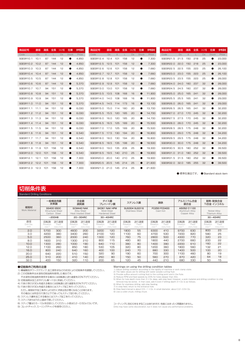| 商品記号                  | 直径   | 溝長       | 全長  | シャンク径     | 在庫           | 参考価格  | 商品記号                  | 直径   | 溝長            |              | 全長 沙烴 | 在庫        | 参考価格   | 商品記号               | 直径       | 溝長          |              | 全長 沙?怪    | 在庫           | 参考価格   |
|-----------------------|------|----------|-----|-----------|--------------|-------|-----------------------|------|---------------|--------------|-------|-----------|--------|--------------------|----------|-------------|--------------|-----------|--------------|--------|
| Code                  | Dc.  | $\Omega$ |     | <b>Ds</b> | <b>Stock</b> | Price | Code                  | Dc.  | $\mathcal{Q}$ | $\mathbf{L}$ | Ds    | Stock     | Price  | Code               | Dc.      | $Q_{\rm c}$ | $\mathbf{L}$ | <b>Ds</b> | <b>Stock</b> | Price  |
| SGESR <sub>10.1</sub> | 10.1 | 87       | 144 | 12        |              | 4.850 | SGESR12.4             | 12.4 | 101           | 158          | 12    |           | 7.300  | SGESR21.5          | 21.5     | 150         | 218          | 25        |              | 23,000 |
| SGESR10.2             | 10.2 | 87       | 144 | 12        |              | 4.850 | SGESR12.5             | 12.5 | 101           | 158          | 12    | ●         | 7,300  | SGESR22.0          | 22.0     | 150         | 218          | 25        |              | 23,000 |
| SGESR10.3             | 10.3 | 87       | 144 | 12        |              | 4.850 | SGESR12.6             | 12.6 | 101           | 158          | 12    |           | 7.660  | SGESR22.5          | 22.5     | 155         | 223          | 25        |              | 26,100 |
| SGESR10.4             | 10.4 | 87       | 144 | 12        |              | 4.850 | SGESR <sub>12.7</sub> | 12.7 | 101           | 158          | 12    | $\bullet$ | 7.660  | SGESR23.0          | 23.0     | 155         | 223          | 25        |              | 26,100 |
| SGESR10.5             | 10.5 | 87       | 144 | 12        |              | 4.850 | SGESR12.8 12.8        |      | 101           | 158          | 12    |           | 7.660  | SGESR23.5          | 23.5     | 155         | 223          | 25        | o            | 28,000 |
| SGESR10.6             | 10.6 | 87       | 144 | 12        |              | 5,370 | SGESR12.9             | 12.9 | 101           | 158          | 12    | ●         | 7.660  | SGESR24.0          | 24.0     | 160         | 237          | 32        |              | 28,000 |
| SGESR10.7             | 10.7 | 94       | 151 | 12        |              | 5.370 | SGESR13.0             | 13.0 | 101           | 158          | 12    |           | 7.660  | SGESR24.5          | 24.5     | 160         | 237          | 32        | Q            | 28,000 |
| SGESR <sub>10.8</sub> | 10.8 | 94       | 151 | 12        |              | 5.370 | SGESR13.5             | 13.5 | 108           | 168          | 16    | $\bullet$ | 11,900 | SGESR25.0          | 25.0     | 165         | 241          | 32        |              | 28,000 |
| SGESR <sub>10.9</sub> | 10.9 | 94       | 151 | 12        |              | 5.370 | SGESR14.0 14.0        |      | 108           | 168          | 16    | ●         | 11,900 | SGESR25.5          | 25.5     | 165         | 241          | 32        |              | 29,000 |
| SGESR11.0             | 11.0 | 94       | 151 | 12        |              | 5.370 | SGESR14.5             | 14.5 | 114           | 173          | 16    | $\bullet$ | 13,100 | SGESR26.0          | 26.0     | 165         | 241          | 32        | O            | 29,000 |
| SGESR11.1 11.1        |      | 94       | 151 | 12        |              | 6,030 | SGESR15.0 15.0 114    |      |               | 180          | 20    |           | 13,700 | SGESR26.5          | 26.5     | 165         | 241          | 32        | Q            | 32,200 |
| SGESR11.2 11.2        |      | 94       | 151 | 12        |              | 6,030 | SGESR15.5             | 15.5 | 120           | 185          | 20    | $\bullet$ | 14,700 | SGESR27.0 27.0 170 |          |             | 245          | 32        |              | 32,200 |
| SGESR11.3 11.3        |      | 94       | 151 | 12        |              | 6,030 | SGESR16.0 16.0 120    |      |               | 185          | 20    |           | 14,700 | SGESR27.5 27.5 170 |          |             | 245          | 32        |              | 32,200 |
| SGESR11.4 11.4        |      | 94       | 151 | 12        |              | 6.030 | SGESR16.5             | 16.5 | 125           | 189          | 20    | $\bullet$ | 15,500 | SGESR28.0          | 28.0 170 |             | 245          | 32        |              | 32,200 |
| SGESR11.5 11.5        |      | 94       | 151 | 12        |              | 6.030 | SGESR17.0 17.0 125    |      |               | 189          | 20    |           | 15,500 | SGESR28.5          | 28.5     | - 175       | 248          | 32        |              | 32,200 |
| SGESR11.6 11.6        |      | 94       | 151 | 12        |              | 6.540 | SGESR17.5 17.5        |      | - 130         | 194          | 20    | $\bullet$ | 16,800 | SGESR29.0 29.0 175 |          |             | 248          | 32        |              | 34,200 |
| SGESR11.7 11.7        |      | 94       | 151 | 12        |              | 6.540 | SGESR18.0             | 18.0 | - 130         | 194          | 20    |           | 16,800 | SGESR29.5          | 29.5     | 175         | 248          | 32        | 0            | 34,200 |
| SGESR11.8 11.8        |      | 94       | 151 | 12        | $\bullet$    | 6.540 | SGESR18.5             | 18.5 | - 135         | 198          | 20    | $\bullet$ | 18,500 | SGESR30.0 30.0 175 |          |             | 248          | 32        |              | 34,200 |
| SGESR11.9             | 11.9 | 101      | 158 | 12        |              | 6.540 | SGESR19.0             | 19.0 | 135           | 206          | 25    |           | 19,300 | SGESR30.5          | 30.5     | 180         | 252          | 32        |              | 39,500 |
| SGESR12.0             | 12.0 | 101      | 158 | 12        | $\bullet$    | 6,540 | SGESR19.5             | 19.5 | 140           | 210          | 25    | $\bullet$ | 19,900 | SGESR31.0 31.0     |          | 180         | 252          | 32        | ●            | 39,500 |
| SGESR12.1             | 12.1 | 101      | 158 | 12        |              | 7.300 | SGESR20.0             | 20.0 | 140           | 210          | 25    |           | 19,900 | SGESR31.5          | 31.5     | 180         | 252          | 32        |              | 39,500 |
| SGESR12.2             | 12.2 | 101      | 158 | 12        | $\bullet$    | 7.300 | SGESR20.5             | 20.5 | 145           | 214          | 25    | $\bullet$ | 21,600 | SGESR32.0          | 32.0     | 185         | 255          | 32        |              | 39,500 |
| SGESR12.3             | 12.3 | 101      | 158 | 12        | ●            | 7.300 | SGESR21.0             | 21.0 | 145           | 214          | 25    |           | 21,600 |                    |          |             |              |           |              |        |

●:標準在庫品です。 ●:Standard stock item

### 切削条件表

| <b>Standard Drilling Conditions</b> |                            |                                                              |                          |                                                        |                          |                                                      |                          |                                         |                          |                           |                          |                                               |                          |                                       |
|-------------------------------------|----------------------------|--------------------------------------------------------------|--------------------------|--------------------------------------------------------|--------------------------|------------------------------------------------------|--------------------------|-----------------------------------------|--------------------------|---------------------------|--------------------------|-----------------------------------------------|--------------------------|---------------------------------------|
|                                     |                            | 一般構造用鋼<br>炭素鋼                                                |                          | 合金鋼<br>調質鋼                                             |                          | ダイス鋼<br>プレハードン鋼                                      |                          | ステンレス鋼                                  |                          | 鋳鉄                        |                          | アルミニウム合金<br>銅合金                               |                          | 耐熱・耐食合金<br>Ti合金 インコネル                 |
| 被削材<br>Work Material                |                            | <b>SS400 S50C</b><br><b>Structural Steel</b><br>Carbon Steel |                          | SCM440 NAK<br>Allov Steel<br><b>Heat treated Steel</b> |                          | <b>SKD61 NAK HPM</b><br>Mold Steel<br>Hardened Steel |                          | SUS304 SUS316<br><b>Stainless Steel</b> |                          | FC250 FCD400<br>Cast Iron |                          | A5052 C1100<br>Aluminum Alloy<br>Copper Alloy |                          | Nickel Allov<br><b>Titanium Allov</b> |
|                                     |                            | $\sim$ 200HB                                                 |                          | 20~30HRC                                               |                          | 30~40HRC                                             |                          |                                         |                          |                           |                          |                                               |                          | 30~40HRC                              |
| 直径<br>Drill Dia.<br>mm              | 回転数<br>Rotation<br>$min-1$ | 送り速度<br>Feed<br>mm/min                                       | 回転数<br>Rotation<br>min-1 | 送り速度<br>Feed<br>mm/min                                 | 回転数<br>Rotation<br>min-1 | 送り速度<br>Feed<br>mm/min                               | 回転数<br>Rotation<br>min-1 | 送り速度<br>Feed<br>mm/min                  | 回転数<br>Rotation<br>min-1 | 送り速度<br>Feed<br>mm/min    | 回転数<br>Rotation<br>min-1 | 送り速度<br>Feed<br>mm/min                        | 回転数<br>Rotation<br>min-1 | 送り速度<br>Feed<br>mm/min                |
| 2.0                                 | 5700                       | 300                                                          | 4600                     | 200                                                    | 3200                     | 120                                                  | 1800                     | 55                                      | 6300                     | 410                       | 9700                     | 630                                           | 800                      | 23                                    |
| 3.0                                 | 4200                       | 380                                                          | 3400                     | 260                                                    | 2100                     | 120                                                  | 1100                     | 60                                      | 4700                     | 530                       | 7200                     | 820                                           | 580                      | 25                                    |
| 5.0                                 | 2500                       | 360                                                          | 2000                     | 240                                                    | 1300                     | 120                                                  | 760                      | 75                                      | 2800                     | 500                       | 4300                     | 770                                           | 320                      | 23                                    |
| 8.0                                 | 1600                       | 310                                                          | 1300                     | 210                                                    | 800                      | 115                                                  | 480                      | 80                                      | 1800                     | 440                       | 2700                     | 660                                           | 200                      | 55                                    |
| 10.0                                | 1300                       | 280                                                          | 1000                     | 190                                                    | 640                      | 110                                                  | 380                      | 80                                      | 1400                     | 390                       | 2200                     | 610                                           | 160                      | 55                                    |
| 12.0                                | 1100                       | 260                                                          | 850                      | 180                                                    | 530                      | 105                                                  | 320                      | 80                                      | 1200                     | 360                       | 1800                     | 560                                           | 132                      | 21                                    |
| 16.0                                | 800                        | 240                                                          | 640                      | 160                                                    | 400                      | 100                                                  | 240                      | 70                                      | 880                      | 330                       | 1400                     | 500                                           | 100                      | 20                                    |
| 20.0                                | 640                        | 220                                                          | 510                      | 150                                                    | 320                      | 90                                                   | 190                      | 60                                      | 700                      | 300                       | 1100                     | 460                                           | 80                       | 19                                    |
| 25.0                                | 510                        | 200                                                          | 410                      | 140                                                    | 250                      | 80                                                   | 150                      | 50                                      | 560                      | 270                       | 870                      | 420                                           | 64                       | 18                                    |
| 32.0                                | 400                        | 150                                                          | 320                      | 110                                                    | 200                      | 65                                                   | 120                      | 45                                      | 440                      | 210                       | 680                      | 330                                           | 50                       | 15                                    |

#### ●切削条件ご利用の注意

- 1) 機械剛性やワーククランプ、加工部形状などの状況により切削条件を調整してください。 2) この切削条件は水溶性切削油剤を使用した場合です。
- 不水溶性切削油剤を使用する場合には回転数と送り速度を20%下げてください。
- 3) 切削油剤は加工点やドリル溝へ十分に供給してください。
- 3) 3335mmms 3mmm 3345.<br>4) 穴あけ深さが3Dcを超える場合には回転数と送り速度を20%下げてください。 5) 穴あけ深さが3Dcを超える場合にはステップ加工を行ってください。
- ただし、被削材や加工条件により切りくず排出性が悪くなることがあります。 その場合には所定の穴深さ以下であってもステップ送りをしてください。
- 6) ステンレス鋼を加工する場合にはステップ加工を行ってください。
- 7) ステップ送りは穴の上面まで戻してください。
- 8) ステップ量は0.5~1Dcを目安にしてください。小径は0.2~0.5Dcぐらいです。
- 9) コレットチャック、ミーリングチャックを使用ください。

- 
- 

**Warnings on using the drilling condition tables**<br>
1) Adjust drilling condition according to the rigidity of machine or work clamp state.<br>
2) The table values are for drilling with water soluble outling fluid.<br>
2) Provide

コーティングに色むらを生ずることはありますが、性能にはまったく問題ありません。 Drills may have some discoloration, but it does not cause any performance prob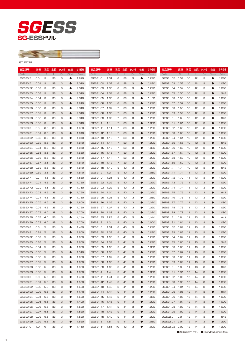



LIST 7572P

| 商品記号             | 直径   | 溝長            | 全長 | シャンク径 | 在庫           | 参考価格  | 商品記号           | 直径     | 溝長            | 全長 | シャンク径     | 在庫           | 参考価格  | 商品記号             | 直径   | 溝長            | 全長 | シャンク径 | 在庫           | 参考価格  |
|------------------|------|---------------|----|-------|--------------|-------|----------------|--------|---------------|----|-----------|--------------|-------|------------------|------|---------------|----|-------|--------------|-------|
| Code             | Dc   | $\mathcal{Q}$ | L  | Ds    | <b>Stock</b> | Price | Code           | Dc     | $\mathcal{Q}$ | L  | <b>Ds</b> | <b>Stock</b> | Price | Code             | Dc   | $\mathcal{Q}$ | L  | Ds    | <b>Stock</b> | Price |
| SGESSO.5         | 0.5  | З             | 38 | З     |              | 1,870 | SGESS1.01      | 1.01   | 6             | 38 | З         | 0            | 1,220 | SGESS1.52        | 1.52 | 10            | 42 | з     | 0            | 1,090 |
| SGESS0.51        | 0.51 | З             | 38 | З     |              | 2,010 | SGESS1.02      | 1.02   | 6             | 38 | З         | $\bullet$    | 1,220 | SGESS1.53        | 1.53 | 10            | 42 | З     | $\bullet$    | 1,090 |
| SGESSO.52        | 0.52 | -3            | 38 | З     | 0            | 2,010 | SGESS1.03      | 1.03   | 6             | 38 | З         | 0            | 1,220 | SGESS1.54        | 1.54 | 10            | 42 | З     | $\bullet$    | 1,090 |
| SGESSO.53        | 0.53 | -3            | 38 | З     |              | 2,010 | SGESS1.04      | 1.04   | 6             | 38 | З         | $\bullet$    | 1,220 | SGESS1.55        | 1.55 | 10            | 42 | 3     | e            | 943   |
| SGESSO.54        | 0.54 | З             | 38 | З     |              | 2,010 | SGESS1.05      | 1.05   | 6             | 38 | З         | 0            | 1,150 | SGESS1.56        | 1.56 | 10            | 42 | З     | O            | 1,090 |
| SGESSO.55        | 0.55 | -3            | 38 | З     |              | 1,810 | SGESS1.06      | 1.06   | 6             | 38 | З         | $\bullet$    | 1,220 | SGESS1.57        | 1.57 | 10            | 42 | 3     | O            | 1,090 |
| SGESSO.56        | 0.56 | -3            | 38 | З     | 0            | 2,010 | SGESS1.07      | 1.07   | 7             | 39 | З         | 0            | 1,220 | SGESS1.58        | 1.58 | 10            | 42 | З     | $\bullet$    | 1,090 |
| SGESSO.57 0.57   |      | -3            | 38 | З     |              | 2,010 | SGESS1.08      | 1.08   | 7             | 39 | З         | $\bullet$    | 1,220 | SGESS1.59        | 1.59 | 10            | 42 | 3     |              | 1,090 |
| SGESSO.58        | 0.58 | З             | 38 | З     |              | 2,010 | SGESS1.09      | 1.09   | 7             | 39 | З         | 0            | 1,220 | SGESS1.6         | 1.6  | 10            | 42 | З     |              | 943   |
| <b>SGESSO.59</b> | 0.59 | З             | 38 | 3     |              | 2,010 | SGESS1.1       | 1.1    | 7             | 39 | З         | 0            | 1,050 | SGESS1.61        | 1.61 | 10            | 42 | 3     |              | 1,090 |
| SGESSO.6         | 0.6  | 3.5           | 38 | З     | œ            | 1,680 | SGESS1.11 1.11 |        | 7             | 39 | з         | 0            | 1,220 | SGESS1.62        | 1.62 | 10            | 42 | З     | e            | 1,090 |
| SGESSO.61        | 0.61 | 3.5           | 38 | 3     |              | 1,840 | SGESS1.12 1.12 |        | 7             | 39 | З         | 0            | 1,220 | SGESS1.63        | 1.63 | 10            | 42 | 3     | e            | 1,090 |
| SGESSO.62        | 0.62 | 3.5           | 38 | З     |              | 1,840 | SGESS1.13 1.13 |        | 7             | 39 | З         | 0            | 1,220 | SGESS1.64        | 1.64 | 10            | 42 | З     |              | 1,090 |
| SGESSO.63        | 0.63 | 3.5           | 38 | 3     |              | 1,840 | SGESS1.14 1.14 |        | 7             | 39 | З         | 0            | 1,220 | SGESS1.65        | 1.65 | 10            | 42 | 3     |              | 943   |
| SGESSO.64 0.64   |      | 3.5           | 38 | З     |              | 1,840 | SGESS1.15 1.15 |        | 7             | 39 | з         | 0            | 1,050 | SGESS1.66        | 1.66 | 10            | 42 | З     | e            | 1,090 |
| SGESSO.65        | 0.65 | 3.5           | 38 | З     |              | 1,660 | SGESS1.16 1.16 |        | 7             | 39 | З         | $\bullet$    | 1,220 | SGESS1.67        | 1.67 | 10            | 42 | 3     | e            | 1,090 |
|                  | 0.66 |               | 38 | З     |              |       |                |        | 7             | 39 | З         | 0            |       |                  |      |               |    | 3     |              | 1,090 |
| SGESSO.66        |      | 3.5           |    |       |              | 1,840 | SGESS1.17 1.17 |        |               |    |           |              | 1,220 | SGESS1.68        | 1.68 | 10            | 42 |       |              |       |
| SGESSO.67 0.67   |      | 3.5           | 38 | З     |              | 1,840 | SGESS1.18      | 1.18   | 7             | 39 | З         | $\bullet$    | 1,220 | SGESS1.69        | 1.69 | 10            | 42 | 3     |              | 1,090 |
| SGESSO.68        | 0.68 | 3.5           | 38 | З     |              | 1,840 | SGESS1.19 1.19 |        | 8             | 40 | З         | 0            | 1,220 | SGESS1.7         | 1.7  | 10            | 42 | 3     |              | 943   |
| SGESSO.69        | 0.69 | 3.5           | 38 | З     |              | 1,840 | SGESS1.2       | 1.2    | 8             | 40 | З         | $\bullet$    | 1,050 | SGESS1.71        | 1.71 | 11            | 43 | 3     |              | 1,090 |
| SGESSO.7         | 0.7  | 4.5           | 38 | З     |              | 1,560 | SGESS1.21 1.21 |        | 8             | 40 | З         | 0            | 1,220 | SGESS1.72        | 1.72 | 11            | 43 | З     |              | 1,090 |
| SGESSO.71        | 0.71 | 4.5           | 38 | З     |              | 1,750 | SGESS1.22      | 1.22   | 8             | 40 | З         | $\bullet$    | 1,220 | <b>SGESS1.73</b> | 1.73 | 11            | 43 | 3     |              | 1,090 |
| SGESSO.72        | 0.72 | 4.5           | 38 | З     |              | 1,750 | SGESS1.23      | 1.23   | 8             | 40 | З         | 0            | 1,220 | SGESS1.74 1.74   |      | 11            | 43 | З     |              | 1,090 |
| SGESSO.73        | 0.73 | 4.5           | 38 | З     |              | 1,750 | SGESS1.24 1.24 |        | 8             | 40 | З         | $\bullet$    | 1,220 | SGESS1.75        | 1.75 | 11            | 43 | З     |              | 943   |
| SGESSO.74 0.74   |      | 4.5           | 38 | з     |              | 1,750 | SGESS1.25      | 1.25   | 8             | 40 | З         | 0            | 1,050 | SGESS1.76        | 1.76 | 11            | 43 | З     |              | 1,090 |
| SGESSO.75 0.75   |      | 4.5           | 38 | З     |              | 1,600 | SGESS1.26      | 1.26   | 8             | 40 | З         | $\bullet$    | 1,220 | SGESS1.77        | 1.77 | 11            | 43 | З     |              | 1,090 |
| SGESSO.76 0.76   |      | 4.5           | 38 | З     |              | 1,750 | SGESS1.27 1.27 |        | 8             | 40 | З         | c            | 1,220 | <b>SGESS1.78</b> | 1.78 | 11            | 43 | З     |              | 1,090 |
| SGESSO.77 0.77   |      | 4.5           | 38 | З     |              | 1,750 | SGESS1.28      | 1.28   | 8             | 40 | З         | $\bullet$    | 1,220 | SGESS1.79        | 1.79 | 11            | 43 | З     |              | 1,090 |
| SGESSO.78        | 0.78 | 4.5           | 38 | З     |              | 1,750 | SGESS1.29      | 1.29   | 8             | 40 | З         |              | 1,220 | SGESS1.8         | 1.8  | 11            | 43 | З     |              | 943   |
| SGESSO.79        | 0.79 | 4.5           | 38 | З     | $\bullet$    | 1,750 | SGESS1.3       | 1.3    | 8             | 40 | 3         | $\bullet$    | 1,050 | SGESS1.81        | 1.81 | 11            | 43 | З     |              | 1,090 |
| SGESSO.8         | 0.8  | 5             | 38 | З     |              | 1,490 | SGESS1.31 1.31 |        | 8             | 40 | З         |              | 1,220 | SGESS1.82        | 1.82 | 11            | 43 | З     | Œ            | 1,090 |
| SGESSO.81        | 0.81 | 5             | 38 | З     | $\bullet$    | 1,650 | SGESS1.32      | - 1.32 | 8             | 40 | З         | $\bullet$    | 1,220 | SGESS1.83        | 1.83 | 11            | 43 | 3     |              | 1,090 |
| SGESSO.82        | 0.82 | 5             | 38 | З     | O            | 1,650 | SGESS1.33      | - 1.33 | 9             | 41 | З         | $\bullet$    | 1,220 | SGESS1.84        | 1.84 | 11            | 43 | З     |              | 1,090 |
| SGESSO.83        | 0.83 | 5             | 38 | З     |              | 1,650 | SGESS1.34 1.34 |        | 9             | 41 | З         | $\bullet$    | 1,220 | SGESS1.85        | 1.85 | 11            | 43 | З     |              | 943   |
| SGESSO.84 0.84   |      | 5             | 38 | З     |              | 1,650 | SGESS1.35 1.35 |        | 9             | 41 | З         | O            | 1,050 | SGESS1.86 1.86   |      | 11            | 43 | З     |              | 1,090 |
| SGESSO.85 0.85   |      | 5             | 38 | З     | Ð            | 1,510 | SGESS1.36 1.36 |        | 9             | 41 | З         | $\bullet$    | 1,220 | SGESS1.87 1.87   |      | 11            | 43 | З     |              | 1,090 |
| SGESSO.86 0.86   |      | - 5           | 38 | З     | ●            | 1,650 | SGESS1.37 1.37 |        | 9             | 41 | З         | 0            | 1,220 | SGESS1.88 1.88   |      | 11            | 43 | З     | Δ            | 1,090 |
| SGESSO.87 0.87   |      | - 5           | 38 | З     | $\bullet$    | 1,650 | SGESS1.38 1.38 |        | 9             | 41 | З         | $\bullet$    | 1,220 | SGESS1.89 1.89   |      | 11            | 43 | З     |              | 1,090 |
| SGESSO.88 0.88   |      | - 5           | 38 | з     | $\bullet$    | 1,650 | SGESS1.39 1.39 |        | 9             | 41 | З         | $\bullet$    | 1,220 | SGESS1.9         | 1.9  | 11            | 43 | З     | Δ            | 943   |
| SGESSO.89 0.89   |      | 5             | 38 | З     | $\bullet$    | 1,650 | SGESS1.4       | 1.4    | 9             | 41 | З         | $\bullet$    | 1,050 | SGESS1.91 1.91   |      | 12            | 44 | З     | ●            | 1,090 |
| SGESSO.9         | 0.9  | 5.5           | 38 | з     | $\bullet$    | 1,420 | SGESS1.41 1.41 |        | 9             | 41 | з         | $\bullet$    | 1,220 | SGESS1.92 1.92   |      | 12            | 44 | З     | ●            | 1,090 |
| SGESSO.91 0.91   |      | 5.5           | 38 | З     | $\bullet$    | 1,530 | SGESS1.42 1.42 |        | 9             | 41 | З         | $\bullet$    | 1,220 | SGESS1.93 1.93   |      | 12            | 44 | З     | $\bullet$    | 1,090 |
| SGESSO.92 0.92   |      | 5.5           | 38 | з     | $\bullet$    |       | SGESS1.43 1.43 |        | 9             | 41 |           | $\bullet$    |       | SGESS1.94 1.94   |      | 12            | 44 |       |              |       |
| SGESSO.93 0.93   |      |               |    |       |              | 1,530 |                |        |               |    | З         |              | 1,220 |                  |      |               |    | з     | $\bullet$    | 1,090 |
| SGESSO.94 0.94   |      | 5.5           | 38 | З     | $\bullet$    | 1,530 | SGESS1.44 1.44 |        | 9             | 41 | З         | $\bullet$    | 1,220 | SGESS1.95 1.95   |      | 12            | 44 | З     |              | 943   |
|                  |      | 5.5           | 38 | З     | $\bullet$    | 1,530 | SGESS1.45 1.45 |        | 9             | 41 | З         | $\bullet$    | 1,050 | SGESS1.96        | 1.96 | 12            | 44 | з     | $\bullet$    | 1,090 |
| SGESSO.95 0.95   |      | 5.5           | 38 | З     | $\bullet$    | 1,400 | SGESS1.46 1.46 |        | 9             | 41 | З         | $\bullet$    | 1,220 | SGESS1.97 1.97   |      | 12            | 44 | З     | $\bullet$    | 1,090 |
| SGESSO.96 0.96   |      | 5.5           | 38 | з     | $\bullet$    | 1,530 | SGESS1.47 1.47 |        | 9             | 41 | з         | $\bullet$    | 1,220 | SGESS1.98        | 1.98 | 12            | 44 | з     | $\bullet$    | 1,090 |
| SGESSO.97 0.97   |      | 5.5           | 38 | З     | $\bullet$    | 1,530 | SGESS1.48 1.48 |        | 9             | 41 | З         | $\bullet$    | 1,220 | <b>SGESS1.99</b> | 1.99 | 12            | 44 | З     | $\bullet$    | 1,090 |
| SGESSO.98 0.98   |      | 5.5           | 38 | З     | $\bullet$    | 1,530 | SGESS1.49      | 1.49   | 9             | 41 | З         | $\bullet$    | 1,220 | SGESS2.0         | 2.0  | 12            | 44 | з     | Δ            | 943   |
| SGESSO.99 0.99   |      | 5.5           | 38 | З     | $\bullet$    | 1,530 | SGESS1.5       | 1.5    | 9             | 41 | З         | $\bullet$    | 1,050 | SGESS2.01        | 2.01 | 12            | 44 | З     | $\bullet$    | 1,290 |
| SGESS1.0         | 1.0  | 6             | 38 | З     | $\bullet$    | 1,150 | SGESS1.51 1.51 |        | 10            | 42 | З         | $\bullet$    | 1,090 | SGESS2.02 2.02   |      | 12            | 44 | З     |              | 1,290 |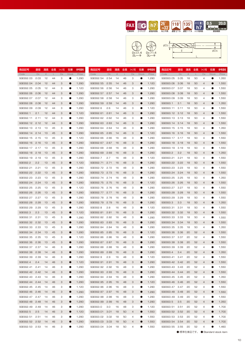





| 商品記号             | 直径   | 溝長            | 全長 | シャンク径 | 在庫           | 参考価格  | 商品記号             | 直径   | 溝長            | 全長 | シャンク径 | 在庫           | 参考価格  | 商品記号             | 直径   | 溝長            | 全長 | シャンク径          | 在庫           | 参考価格  |
|------------------|------|---------------|----|-------|--------------|-------|------------------|------|---------------|----|-------|--------------|-------|------------------|------|---------------|----|----------------|--------------|-------|
| Code             | Dc   | $\mathcal{Q}$ | L  | Ds    | <b>Stock</b> | Price | Code             | Dc   | $\mathcal{Q}$ | L  | Ds    | <b>Stock</b> | Price | Code             | Dc   | $\mathcal{Q}$ | L  | Ds.            | <b>Stock</b> | Price |
| SGESS2.03        | 2.03 | 12            | 44 | з     | 0            | 1,290 | SGESS2.54        | 2.54 | 14            | 46 | з     | 0            | 1,290 | SGESS3.05        | 3.05 | 18            | 50 | 4              |              | 1,350 |
| SGESS2.04        | 2.04 | 12            | 44 | З     | $\bullet$    | 1,290 | SGESS2.55        | 2.55 | 14            | 46 | З     | $\bullet$    | 1,120 | SGESS3.06        | 3.06 | 18            | 50 | 4              | $\bullet$    | 1,550 |
| SGESS2.05        | 2.05 | 12            | 44 | З     | $\bullet$    | 1,120 | SGESS2.56        | 2.56 | 14            | 46 | З     |              | 1,290 | SGESS3.07        | 3.07 | 18            | 50 | 4              | e            | 1,550 |
| SGESS2.06        | 2.06 | 12            | 44 | З     | $\bullet$    | 1,290 | SGESS2.57        | 2.57 | 14            | 46 | З     | $\bullet$    | 1,290 | SGESS3.08        | 3.08 | 18            | 50 | 4              | ●            | 1,550 |
| SGESS2.07        | 2.07 | 12            | 44 | З     | 0            | 1,290 | SGESS2.58        | 2.58 | 14            | 46 | з     | 0            | 1,290 | SGESS3.09        | 3.09 | 18            | 50 | 4              | e            | 1,550 |
| <b>SGESS2.08</b> | 2.08 | 12            | 44 | З     | $\bullet$    | 1,290 | SGESS2.59        | 2.59 | 14            | 46 | З     | $\bullet$    | 1,290 | <b>SGESS3.1</b>  | 3.1  | 18            | 50 | 4              | C            | 1,350 |
| SGESS2.09        | 2.09 | 12            | 44 | З     | 0            | 1,290 | SGESS2.6         | 2.6  | 14            | 46 | з     | 0            | 1,120 | SGESS3.11        | 3.11 | 18            | 50 | 4              | e            | 1,550 |
| SGESS2.1         | 2.1  | 12            | 44 | З     | $\bullet$    | 1,120 | SGESS2.61        | 2.61 | 14            | 46 | З     | ●            | 1,290 | SGESS3.12        | 3.12 | 18            | 50 | 4              | C            | 1,550 |
| SGESS2.11        | 2.11 | 12            | 44 | З     | $\bullet$    | 1,290 | SGESS2.62        | 2.62 | 14            | 46 | З     | 0            | 1,290 | <b>SGESS3.13</b> | 3.13 | 18            | 50 | 4              | e            | 1,550 |
| SGESS2.12 2.12   |      | 12            | 44 | З     |              | 1,290 | SGESS2.63        | 2.63 | 14            | 46 | З     | ●            | 1,290 | SGESS3.14        | 3.14 | 18            | 50 | 4              |              | 1,550 |
| <b>SGESS2.13</b> | 2.13 | 13            | 45 | З     | $\bullet$    | 1,290 | SGESS2.64        | 2.64 | 14            | 46 | З     | 0            | 1,290 | SGESS3.15        | 3.15 | 18            | 50 | 4              |              | 1,350 |
| SGESS2.14        | 2.14 | 13            | 45 | З     | $\bullet$    | 1,290 | SGESS2.65        | 2.65 | 14            | 46 | З     | $\bullet$    | 1,120 | SGESS3.16        | 3.16 | 18            | 50 | 4              |              | 1,550 |
| SGESS2.15 2.15   |      | 13            | 45 | З     | $\bullet$    | 1,120 | SGESS2.66        | 2.66 | 16            | 48 | З     | 0            | 1,290 | SGESS3.17        | 3.17 | 18            | 50 | 4              |              | 1,550 |
| SGESS2.16 2.16   |      | 13            | 45 | З     |              | 1,290 | SGESS2.67        | 2.67 | 16            | 48 | З     | $\bullet$    | 1,290 | SGESS3.18        | 3.18 | 18            | 50 | 4              |              | 1,550 |
| SGESS2.17 2.17   |      | 13            | 45 | З     | $\bullet$    | 1,290 | SGESS2.68        | 2.68 | 16            | 48 | З     | 0            | 1,290 | SGESS3.19        | 3.19 | 18            | 50 | 4              |              | 1,550 |
| SGESS2.18        | 2.18 | 13            | 45 | 3     |              | 1,290 | SGESS2.69        | 2.69 | 16            | 48 | З     | ●            | 1,290 | SGESS3.2         | 3.2  | 18            | 50 | 4              |              | 1,350 |
| SGESS2.19        | 2.19 | 13            | 45 | З     |              | 1,290 | SGESS2.7         | 2.7  | 16            | 48 | З     | 0            | 1,120 | SGESS3.21        | 3.21 | 18            | 50 | 4              |              | 1,550 |
| SGESS2.2         | 2.2  | 13            | 45 | 3     |              | 1,120 | SGESS2.71        | 2.71 | 16            | 48 | З     | ●            | 1,290 | SGESS3.22 3.22   |      | 18            | 50 | 4              |              | 1,550 |
| SGESS2.21        | 2.21 | 13            | 45 | З     |              | 1,290 | SGESS2.72        | 2.72 | 16            | 48 | З     | 0            | 1,290 | SGESS3.23        | 3.23 | 18            | 50 | 4              |              | 1,550 |
| SGESS2.22        | 2.22 | 13            | 45 | 3     |              | 1,290 | <b>SGESS2.73</b> | 2.73 | 16            | 48 | З     | ●            | 1,290 | SGESS3.24        | 3.24 | 18            | 50 | 4              |              | 1,550 |
| SGESS2.23        | 2.23 | 13            | 45 | З     |              | 1,290 | SGESS2.74        | 2.74 | 16            | 48 | З     | 0            | 1,290 | SGESS3.25        | 3.25 | 18            | 50 | 4              |              | 1,350 |
| SGESS2.24        | 2.24 | 13            | 45 | 3     |              | 1,290 | <b>SGESS2.75</b> | 2.75 | 16            | 48 | З     | ●            | 1,120 | SGESS3.26 3.26   |      | 18            | 50 | 4              |              | 1,550 |
| SGESS2.25        | 2.25 | 13            | 45 | З     | 0            | 1,120 | SGESS2.76        | 2.76 | 16            | 48 | З     | 0            | 1,290 | SGESS3.27        | 3.27 | 18            | 50 | 4              |              | 1,550 |
| SGESS2.26 2.26   |      | 13            | 45 | З     |              | 1,290 | <b>SGESS2.77</b> | 2.77 | 16            | 48 | З     | $\bullet$    | 1,290 | <b>SGESS3.28</b> | 3.28 | 18            | 50 | 4              |              | 1,550 |
| SGESS2.27 2.27   |      | 13            | 45 | З     |              | 1,290 | <b>SGESS2.78</b> | 2.78 | 16            | 48 | З     | O            | 1,290 | SGESS3.29        | 3.29 | 18            | 50 | 4              |              | 1,550 |
| SGESS2.28        | 2.28 | 13            | 45 | З     |              | 1,290 | <b>SGESS2.79</b> | 2.79 | 16            | 48 | З     | $\bullet$    | 1,290 | SGESS3.3         | 3.3  | 18            | 50 | 4              |              | 1,350 |
| SGESS2.29        | 2.29 | 13            | 45 | З     |              | 1,290 | SGESS2.8         | 2.8  | 16            | 48 | З     | O            | 1,120 | SGESS3.31        | 3.31 | 18            | 50 | 4              |              | 1,550 |
| SGESS2.3         | 2.3  | 13            | 45 | З     |              | 1,120 | SGESS2.81        | 2.81 | 16            | 48 | З     | $\bullet$    | 1,290 | SGESS3.32        | 3.32 | 18            | 50 | 4              |              | 1,550 |
| SGESS2.31        | 2.31 | 13            | 45 | З     |              | 1,290 | SGESS2.82        | 2.82 | 16            | 48 | З     | O            | 1,290 | SGESS3.33        | 3.33 | 18            | 50 | 4              |              | 1,550 |
| SGESS2.32        | 2.32 | 13            | 45 | З     |              | 1,290 | SGESS2.83        | 2.83 | 16            | 48 | З     | $\bullet$    | 1,290 | SGESS3.34        | 3.34 | 18            | 50 | 4              |              | 1,550 |
| SGESS2.33        | 2.33 | 13            | 45 | з     |              | 1,290 | SGESS2.84        | 2.84 | 16            | 48 | з     | 0            | 1,290 | SGESS3.35        | 3.35 | 18            | 50 | 4              |              | 1,350 |
| SGESS2.34        | 2.34 | 13            | 45 | З     |              | 1,290 | SGESS2.85        | 2.85 | 16            | 48 | З     | $\bullet$    | 1,120 | SGESS3.36        | 3.36 | 20            | 52 | 4              |              | 1,550 |
| SGESS2.35        | 2.35 | 13            | 45 | З     |              | 1,120 | SGESS2.86        | 2.86 | 16            | 48 | З     |              | 1,290 | SGESS3.37        | 3.37 | 20            | 52 | 4              |              | 1,550 |
| SGESS2.36        | 2.36 | 13            | 45 | З     |              | 1,290 | SGESS2.87        | 2.87 | 16            | 48 | З     |              | 1,290 | SGESS3.38        | 3.38 | 20            | 52 | 4              |              | 1,550 |
| SGESS2.37        | 2.37 | 14            | 46 | З     |              | 1,290 | <b>SGESS2.88</b> | 2.88 | 16            | 48 | З     |              | 1,290 | SGESS3.39        | 3.39 | 20            | 52 | 4              |              | 1,550 |
| SGESS2.38        | 2.38 | 14            | 46 | 3     |              | 1,290 | SGESS2.89        | 2.89 | 16            | 48 | 3     |              | 1,290 | SGESS3.4         | 3.4  | 50            | 52 | $\overline{4}$ |              | 1,350 |
| SGESS2.39 2.39   |      | 14            | 46 | З     |              | 1,290 | SGESS2.9         | 2.9  | 16            | 48 | з     |              | 1,120 | SGESS3.41 3.41   |      | 20            | 52 | 4              |              | 1,550 |
| SGESS2.4         | 2.4  | 14            | 46 | З     | $\bullet$    | 1,120 | SGESS2.91 2.91   |      | 16            | 48 | З     | $\bullet$    | 1,290 | SGESS3.42 3.42   |      | 20            | 52 | 4              |              | 1,550 |
| SGESS2.41 2.41   |      | 14            | 46 | з     | $\bullet$    | 1,290 | SGESS2.92 2.92   |      | 16            | 48 | З     | $\bullet$    | 1,290 | SGESS3.43 3.43   |      | 20            | 52 | 4              |              | 1,550 |
| SGESS2.42 2.42   |      | 14            | 46 | З     | $\bullet$    | 1,290 | SGESS2.93 2.93   |      | 16            | 48 | З     | $\bullet$    | 1,290 | SGESS3.44 3.44   |      | 20            | 52 | 4              |              | 1,550 |
| SGESS2.43 2.43   |      | -14           | 46 | з     | $\bullet$    | 1,290 | SGESS2.94 2.94   |      | 16            | 48 | з     | $\bullet$    | 1,290 | SGESS3.45 3.45   |      | 20            | 52 | 4              |              | 1,350 |
| SGESS2.44 2.44   |      | 14            | 46 | З     | $\bullet$    | 1,290 | SGESS2.95 2.95   |      | 16            | 48 | З     | $\bullet$    | 1,120 | SGESS3.46 3.46   |      | 20            | 52 | 4              |              | 1,550 |
| SGESS2.45 2.45   |      | 14            | 46 | з     | $\bullet$    | 1,120 | SGESS2.96 2.96   |      | 16            | 48 | З     | $\bullet$    | 1,290 | SGESS3.47 3.47   |      | 20            | 52 | 4              |              | 1,550 |
| SGESS2.46 2.46   |      | 14            | 46 | З     | $\bullet$    | 1,290 | SGESS2.97 2.97   |      | 16            | 48 | З     | $\bullet$    | 1,290 | SGESS3.48 3.48   |      | 20            | 52 | 4              |              | 1,550 |
| SGESS2.47 2.47   |      | 14            | 46 | з     | $\bullet$    | 1,290 | SGESS2.98 2.98   |      | 16            | 48 | з     | $\bullet$    | 1,290 | SGESS3.49 3.49   |      | 20            | 52 | 4              |              | 1,550 |
| SGESS2.48 2.48   |      | 14            | 46 | З     | $\bullet$    | 1,290 | SGESS2.99 2.99   |      | 16            | 48 | З     | $\bullet$    | 1,290 | SGESS3.5         | 3.5  | 20            | 52 | 4              |              | 1,350 |
| SGESS2.49 2.49   |      | 14            | 46 | з     | $\bullet$    | 1,290 | SGESS3.0         | 3.0  | 16            | 48 | З     | $\bullet$    | 1,120 | SGESS3.51 3.51   |      | 20            | 52 | 4              |              | 1,700 |
| SGESS2.5         | 2.5  | 14            | 46 | З     | $\bullet$    | 1,120 | SGESS3.01 3.01   |      | 18            | 50 | 4     | $\bullet$    | 1,550 | SGESS3.52 3.52   |      | 20            | 52 | 4              | ●            | 1,700 |
| SGESS2.51        | 2.51 | 14            | 46 | з     | $\bullet$    | 1,290 | SGESS3.02 3.02   |      | 18            | 50 | 4     | $\bullet$    | 1,550 | SGESS3.53 3.53   |      | 20            | 52 | 4              |              | 1,700 |
| SGESS2.52 2.52   |      | 14            | 46 |       | $\bullet$    |       |                  |      | 18            | 50 | 4     | $\bullet$    |       | SGESS3.54 3.54   |      | 50            | 52 |                |              |       |
|                  |      |               |    | З     |              | 1,290 | SGESS3.03 3.03   |      |               |    |       |              | 1,550 |                  |      |               |    | 4              |              | 1,700 |
| SGESS2.53 2.53   |      | 14            | 46 | З     |              | 1,290 | SGESS3.04 3.04   |      | 18            | 50 | 4     | 0            | 1,550 | SGESS3.55 3.55   |      | 20            | 52 | 4              |              | 1,460 |

●:標準在庫品です。 ●:Standard stock item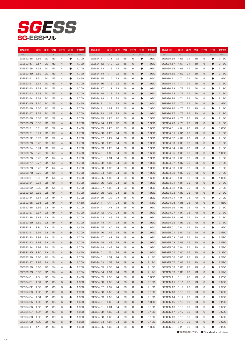# SG-ESS *SGESS*

| 商品記号             | 直径   | 溝長     | 全長 | シャンク径          | 在庫           | 参考価格  | 商品記号             | 直径     | 溝長     | 全長           | シャンク径     | 在庫        | 参考価格  | 商品記号             | 直径   | 溝長              | 全長 | シャンク径 | 在庫           | 参考価格  |
|------------------|------|--------|----|----------------|--------------|-------|------------------|--------|--------|--------------|-----------|-----------|-------|------------------|------|-----------------|----|-------|--------------|-------|
| Code             | Dc   | $\ell$ | L. | Ds             | <b>Stock</b> | Price | Code             | Dc     | $\ell$ | $\mathsf{L}$ | <b>Ds</b> | Stock     | Price | Code             | Dc   | $\mathcal{Q}^-$ | L  | Ds    | <b>Stock</b> | Price |
| SGESS3.56        | 3.56 | 20     | 52 | 4              |              | 1,700 | SGESS4.11        | 4.11   | 55     | 66           | 6         | 0         | 1,930 | SGESS4.66        | 4.66 | 24              | 68 | 6     | O            | 2,180 |
| SGESS3.57 3.57   |      | 20     | 52 | 4              |              | 1,700 | SGESS4.12        | 4.12   | 55     | 66           | 6         | ●         | 1,930 | SGESS4.67        | 4.67 | 24              | 68 | 6     |              | 2,180 |
| SGESS3.58        | 3.58 | 20     | 52 | 4              |              | 1,700 | SGESS4.13 4.13   |        | 22     | 66           | 6         | O         | 1,930 | SGESS4.68        | 4.68 | 24              | 68 | 6     |              | 2,180 |
| SGESS3.59        | 3.59 | 20     | 52 | 4              |              | 1,700 | SGESS4.14        | 4.14   | 55     | 66           | 6         | ●         | 1,930 | <b>SGESS4.69</b> | 4.69 | 24              | 68 | 6     |              | 2,180 |
| SGESS3.6         | 3.6  | 20     | 52 | 4              |              | 1,460 | SGESS4.15 4.15   |        | 55     | 66           | 6         |           | 1,660 | SGESS4.7         | 4.7  | 24              | 68 | 6     |              | 1,860 |
| SGESS3.61        | 3.61 | 20     | 52 | 4              |              | 1,700 | SGESS4.16 4.16   |        | 55     | 66           | 6         | ●         | 1,930 | SGESS4.71        | 4.71 | 24              | 68 | 6     |              | 2,180 |
| SGESS3.62        | 3.62 | 20     | 52 | 4              |              | 1,700 | SGESS4.17 4.17   |        | 22     | 66           | 6         |           | 1,930 | SGESS4.72        | 4.72 | 24              | 68 | 6     |              | 2,180 |
| SGESS3.63        | 3.63 | 20     | 52 | 4              |              | 1,700 | SGESS4.18 4.18   |        | 55     | 66           | 6         | ●         | 1,930 | <b>SGESS4.73</b> | 4.73 | 24              | 68 | 6     |              | 2,180 |
| SGESS3.64        | 3.64 | 20     | 52 | 4              |              | 1,700 | SGESS4.19        | 4.19   | 55     | 66           | 6         |           | 1,930 | <b>SGESS4.74</b> | 4.74 | 24              | 68 | 6     |              | 2,180 |
| SGESS3.65        | 3.65 | 20     | 52 | 4              |              | 1,460 | SGESS4.2         | 4.2    | 55     | 66           | 6         | ●         | 1,660 | <b>SGESS4.75</b> | 4.75 | 24              | 68 | 6     |              | 1,860 |
| SGESS3.66        | 3.66 | 20     | 52 | 4              | œ            | 1,700 | SGESS4.21        | 4.21   | 22     | 66           | 6         | O         | 1,930 | SGESS4.76        | 4.76 | 26              | 70 | 6     |              | 2,180 |
| SGESS3.67 3.67   |      | 20     | 52 | $\overline{4}$ | ●            | 1,700 | SGESS4.22        | 4.22   | 22     | 66           | 6         | $\bullet$ | 1,930 | SGESS4.77 4.77   |      | 26              | 70 | 6     |              | 2,180 |
| SGESS3.68        | 3.68 | 20     | 52 | 4              |              | 1,700 | SGESS4.23        | 4.23   | 22     | 66           | 6         | O         | 1,930 | SGESS4.78        | 4.78 | 26              | 70 | 6     |              | 2,180 |
| SGESS3.69        | 3.69 | 20     | 52 | $\overline{4}$ | ●            | 1,700 | SGESS4.24        | 4.24   | 22     | 66           | 6         | $\bullet$ | 1,930 | <b>SGESS4.79</b> | 4.79 | 26              | 70 | 6     |              | 2,180 |
| SGESS3.7         | 3.7  | 50     | 52 | 4              |              | 1,460 | SGESS4.25 4.25   |        | 22     | 66           | 6         | O         | 1,660 | SGESS4.8         | 4.8  | 26              | 70 | 6     |              | 1,860 |
| SGESS3.71        | 3.71 | 20     | 52 | $\overline{4}$ | ●            | 1,700 | SGESS4.26        | - 4.26 | 24     | 68           | 6         | $\bullet$ | 1,930 | SGESS4.81        | 4.81 | 26              | 70 | 6     |              | 2,180 |
| SGESS3.72 3.72   |      | 20     | 52 | 4              |              | 1,700 | SGESS4.27 4.27   |        | 24     | 68           | 6         | O         | 1,930 | SGESS4.82        | 4.82 | 26              | 70 | 6     |              | 2,180 |
| SGESS3.73 3.73   |      | 20     | 52 | 4              | ●            | 1,700 | <b>SGESS4.28</b> | 4.28   | 24     | 68           | 6         | $\bullet$ | 1,930 | <b>SGESS4.83</b> | 4.83 | 26              | 70 | 6     | О            | 2,180 |
| SGESS3.74 3.74   |      | 20     | 52 | 4              |              | 1,700 | SGESS4.29        | 4.29   | 24     | 68           | 6         |           | 1,930 | SGESS4.84        | 4.84 | 26              | 70 | 6     | œ            | 2,180 |
| SGESS3.75 3.75   |      | 20     | 52 | 4              | ●            | 1,460 | SGESS4.3         | 4.3    | 24     | 68           | 6         | $\bullet$ | 1,660 | <b>SGESS4.85</b> | 4.85 | 26              | 70 | 6     | O            | 1,860 |
| SGESS3.76 3.76   |      | 55     | 54 | 4              |              | 1,700 | SGESS4.31        | 4.31   | 24     | 68           | 6         |           | 1,930 | SGESS4.86        | 4.86 | 26              | 70 | 6     | œ            | 2,180 |
| SGESS3.77 3.77   |      | 55     | 54 | 4              | $\bullet$    | 1,700 | SGESS4.32        | 4.32   | 24     | 68           | 6         | $\bullet$ | 1,930 | SGESS4.87        | 4.87 | 26              | 70 | 6     | O            | 2,180 |
| SGESS3.78 3.78   |      | 55     | 54 | 4              |              | 1,700 | SGESS4.33        | 4.33   | 24     | 68           | 6         |           | 1,930 | <b>SGESS4.88</b> | 4.88 | 26              | 70 | 6     | e            | 2,180 |
| SGESS3.79        | 3.79 | 55     | 54 | 4              | $\bullet$    | 1,700 | SGESS4.34        | 4.34   | 24     | 68           | 6         | $\bullet$ | 1,930 | <b>SGESS4.89</b> | 4.89 | 26              | 70 | 6     | 0            | 2,180 |
| SGESS3.8         | 3.8  | 55     | 54 | 4              |              | 1,460 | SGESS4.35        | 4.35   | 24     | 68           | 6         | 0         | 1,660 | SGESS4.9         | 4.9  | 26              | 70 | 6     | e            | 1,860 |
|                  | 3.81 | 55     | 54 |                | $\bullet$    |       |                  |        |        | 68           |           | $\bullet$ |       |                  |      | 26              | 70 | 6     | $\bullet$    | 2,180 |
| SGESS3.81        |      |        |    | 4              |              | 1,700 | SGESS4.36        | 4.36   | 24     |              | 6         |           | 1,930 | SGESS4.91        | 4.91 |                 |    |       |              |       |
| SGESS3.82        | 3.82 | 55     | 54 | 4              |              | 1,700 | SGESS4.37        | 4.37   | 24     | 68           | 6         | 0         | 1,930 | SGESS4.92        | 4.92 | 26              | 70 | 6     | 0            | 2,180 |
| SGESS3.83        | 3.83 | 55     | 54 | 4              | $\bullet$    | 1,700 | <b>SGESS4.38</b> | 4.38   | 24     | 68           | 6         | $\bullet$ | 1,930 | <b>SGESS4.93</b> | 4.93 | 26              | 70 | 6     | $\bullet$    | 2,180 |
| SGESS3.84        | 3.84 | 55     | 54 | 4              | $\bullet$    | 1,700 | <b>SGESS4.39</b> | 4.39   | 24     | 68           | 6         | 0         | 1,930 | SGESS4.94        | 4.94 | 26              | 70 | 6     | e            | 2,180 |
| SGESS3.85        | 3.85 | 55     | 54 | 4              | $\bullet$    | 1,460 | SGESS4.4         | 4.4    | 24     | 68           | 6         | $\bullet$ | 1,660 | SGESS4.95        | 4.95 | 26              | 70 | 6     | $\bullet$    | 1,860 |
| SGESS3.86        | 3.86 | 55     | 54 | 4              |              | 1,700 | SGESS4.41        | 4.41   | 24     | 68           | 6         | $\bullet$ | 1,930 | SGESS4.96        | 4.96 | 26              | 70 | 6     | 0            | 2,180 |
| SGESS3.87        | 3.87 | 22     | 54 | 4              | $\bullet$    | 1,700 | SGESS4.42        | 4.42   | 24     | 68           | 6         | $\bullet$ | 1,930 | <b>SGESS4.97</b> | 4.97 | 26              | 70 | 6     |              | 2,180 |
| SGESS3.88        | 3.88 | 55     | 54 | 4              |              | 1,700 | SGESS4.43        | 4.43   | 24     | 68           | 6         | 0         | 1,930 | SGESS4.98        | 4.98 | 26              | 70 | 6     | 0            | 2,180 |
| SGESS3.89        | 3.89 | 55     | 54 | 4              |              | 1,700 | SGESS4.44        | 4.44   | 24     | 68           | 6         | ●         | 1,930 | <b>SGESS4.99</b> | 4.99 | 26              | 70 | 6     |              | 2,180 |
| SGESS3.9         | 3.9  | 55     | 54 | 4              |              | 1,460 | SGESS4.45        | 4.45   | 24     | 68           | 6         |           | 1,660 | SGESS5.0         | 5.0  | 26              | 70 | 6     |              | 1,860 |
| SGESS3.91        | 3.91 | 22     | 54 | $\overline{4}$ | $\bullet$    | 1,700 | SGESS4.46 4.46   |        | 24     | 68           | 6         | $\bullet$ | 1.930 | SGESS5.01        | 5.01 | 26              | 70 | 6     |              | 2.580 |
| SGESS3.92 3.92   |      | 55     | 54 | 4              |              | 1,700 | SGESS4.47 4.47   |        | 24     | 68           | 6         | 0         | 1,930 | SGESS5.02        | 5.02 | 26              | 70 | 6     | $\bullet$    | 2,580 |
| <b>SGESS3.93</b> | 3.93 | 55     | 54 | 4              | $\bullet$    | 1,700 | <b>SGESS4.48</b> | 4.48   | 24     | 68           | 6         | $\bullet$ | 1,930 | SGESS5.03        | 5.03 | 26              | 70 | 6     |              | 2,580 |
| SGESS3.94        | 3.94 | 55     | 54 | 4              | $\bullet$    | 1,700 | SGESS4.49        | 4.49   | 24     | 68           | 6         | $\bullet$ | 1,930 | SGESS5.04        | 5.04 | 26              | 70 | 6     | $\bullet$    | 2,580 |
| SGESS3.95        | 3.95 | 22     | 54 | 4              | $\bullet$    | 1,460 | SGESS4.5         | 4.5    | 24     | 68           | 6         | $\bullet$ | 1,660 | SGESS5.05        | 5.05 | 26              | 70 | 6     | 0            | 2,230 |
| <b>SGESS3.96</b> | 3.96 | 55     | 54 | 4              | $\bullet$    | 1,700 | SGESS4.51        | 4.51   | 24     | 68           | 6         | $\bullet$ | 2,180 | SGESS5.06        | 5.06 | 26              | 70 | 6     | $\bullet$    | 2,580 |
| SGESS3.97        | 3.97 | 55     | 54 | 4              | $\bullet$    | 1,700 | <b>SGESS4.52</b> | 4.52   | 24     | 68           | 6         | $\bullet$ | 2,180 | SGESS5.07        | 5.07 | 26              | 70 | 6     | 0            | 2,580 |
| <b>SGESS3.98</b> | 3.98 | 55     | 54 | 4              | $\bullet$    | 1,700 | SGESS4.53        | 4.53   | 24     | 68           | 6         | $\bullet$ | 2,180 | <b>SGESS5.08</b> | 5.08 | 26              | 70 | 6     | $\bullet$    | 2,580 |
| <b>SGESS3.99</b> | 3.99 | 55     | 54 | 4              | $\bullet$    | 1,700 | SGESS4.54        | 4.54   | 24     | 68           | 6         | $\bullet$ | 2,180 | SGESS5.09        | 5.09 | 26              | 70 | 6     | 0            | 2,580 |
| SGESS4.0         | 4.0  | 55     | 54 | 4              | $\bullet$    | 1,460 | SGESS4.55        | 4.55   | 24     | 68           | 6         | $\bullet$ | 1,860 | SGESS5.1         | 5.1  | 26              | 70 | 6     | $\bullet$    | 2,230 |
| SGESS4.01        | 4.01 | 55     | 66 | 6              | $\bullet$    | 1,930 | SGESS4.56        | 4.56   | 24     | 68           | 6         | $\bullet$ | 2,180 | SGESS5.11        | 5.11 | 26              | 70 | 6     | $\bullet$    | 2,580 |
| SGESS4.02        | 4.02 | 55     | 66 | 6              | $\bullet$    | 1,930 | SGESS4.57        | 4.57   | 24     | 68           | 6         | $\bullet$ | 2,180 | SGESS5.12        | 5.12 | 26              | 70 | 6     | $\bullet$    | 2,580 |
| SGESS4.03        | 4.03 | 55     | 66 | 6              | $\bullet$    | 1,930 | <b>SGESS4.58</b> | 4.58   | 24     | 68           | 6         | $\bullet$ | 2,180 | SGESS5.13 5.13   |      | 26              | 70 | 6     | $\bullet$    | 2,580 |
| SGESS4.04        | 4.04 | 55     | 66 | 6              | $\bullet$    | 1,930 | SGESS4.59        | 4.59   | 24     | 68           | 6         |           | 2,180 | SGESS5.14        | 5.14 | 26              | 70 | 6     | $\bullet$    | 2,580 |
| SGESS4.05 4.05   |      | 55     | 66 | 6              | $\bullet$    | 1,660 | SGESS4.6         | 4.6    | 24     | 68           | 6         | $\bullet$ | 1,860 | SGESS5.15 5.15   |      | 26              | 70 | 6     | $\bullet$    | 2,230 |
| SGESS4.06        | 4.06 | 55     | 66 | 6              | $\bullet$    | 1,930 | SGESS4.61        | 4.61   | 24     | 68           | 6         | $\bullet$ | 2,180 | SGESS5.16        | 5.16 | 26              | 70 | 6     |              | 2,580 |
| SGESS4.07 4.07   |      | 55     | 66 | 6              | $\bullet$    | 1,930 | SGESS4.62 4.62   |        | 24     | 68           | 6         | $\bullet$ | 2,180 | SGESS5.17 5.17   |      | 26              | 70 | 6     | $\bullet$    | 2,580 |
| SGESS4.08        | 4.08 | 55     | 66 | 6              | $\bullet$    | 1,930 | SGESS4.63 4.63   |        | 24     | 68           | 6         | $\bullet$ | 2,180 | SGESS5.18        | 5.18 | 26              | 70 | 6     | 0            | 2,580 |
| SGESS4.09        | 4.09 | 55     | 66 | 6              | $\bullet$    | 1,930 | SGESS4.64        | 4.64   | 24     | 68           | 6         | $\bullet$ | 2,180 | SGESS5.19        | 5.19 | 26              | 70 | 6     | О            | 2,580 |
| SGESS4.1         | 4.1  | 55     | 66 | 6              | 0            | 1,660 | SGESS4.65 4.65   |        | 24     | 68           | 6         | 0         | 1,860 | SGESS5.2         | 5.2  | 26              | 70 | 6     | e            | 2,230 |
|                  |      |        |    |                |              |       |                  |        |        |              |           |           |       |                  |      |                 |    |       |              |       |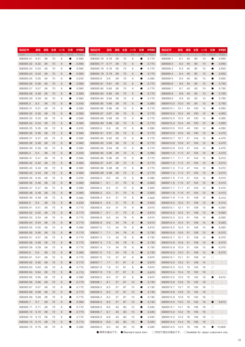| 商品記号                       | 直径   | 溝長 | 全長 | シャンク径 | 在庫           | 参考価格  | 商品記号             | 直径   | 溝長        | 全長 | シャンク径 | 在庫        | 参考価格  | 商品記号                        | 直径     | 溝長     | 全長  | シャンク径 | 在庫             | 参考価格                     |
|----------------------------|------|----|----|-------|--------------|-------|------------------|------|-----------|----|-------|-----------|-------|-----------------------------|--------|--------|-----|-------|----------------|--------------------------|
| Code                       | Dc   | e  | L  | Ds    | <b>Stock</b> | Price | Code             | Dc   | $\varrho$ | L  | Ds    | Stock     | Price | Code                        | Dc     | $\ell$ | L   | Ds    | <b>Stock</b>   | Price                    |
| SGESS5.21                  | 5.21 | 26 | 70 | 6     | $\bullet$    | 2,580 | SGESS5.76        | 5.76 | 28        | 72 | 6     | 0         | 2,770 | SGESS9.1                    | 9.1    | 40     | 90  | 10    |                | 3,550                    |
| SGESS5.22                  | 5.22 | 26 | 70 | 6     | $\bullet$    | 2,580 | <b>SGESS5.77</b> | 5.77 | 28        | 72 | 6     | $\bullet$ | 2,770 | SGESS9.2                    | 9.2    | 40     | 90  | 10    | $\bullet$      | 3,550                    |
| SGESS5.23                  | 5.23 | 26 | 70 | 6     | $\bullet$    | 2,580 | <b>SGESS5.78</b> | 5.78 | 28        | 72 | 6     | œ         | 2,770 | SGESS9.3                    | 9.3    | 40     | 90  | 10    |                | 3,550                    |
| SGESS5.24                  | 5.24 | 26 | 70 | 6     | $\bullet$    | 2,580 | <b>SGESS5.79</b> | 5.79 | 28        | 72 | 6     | $\bullet$ | 2,770 | SGESS9.4                    | 9.4    | 40     | 90  | 10    | $\bullet$      | 3,550                    |
| SGESS5.25                  | 5.25 | 26 | 70 | 6     | $\bullet$    | 2,230 | SGESS5.8         | 5.8  | 28        | 72 | 6     |           | 2,390 | SGESS9.5                    | 9.5    | 40     | 90  | 10    |                | 3,550                    |
| SGESS5.26                  | 5.26 | 26 | 70 | 6     | $\bullet$    | 2,580 | SGESS5.81        | 5.81 | 28        | 72 | 6     | $\bullet$ | 2,770 | SGESS9.6                    | 9.6    | 43     | 93  | 10    | $\bullet$      | 3,750                    |
| SGESS5.27                  | 5.27 | 26 | 70 | 6     | $\bullet$    | 2,580 | SGESS5.82        | 5.82 | 28        | 72 | 6     |           | 2,770 | SGESS9.7                    | 9.7    | 43     | 93  | 10    |                | 3,750                    |
| <b>SGESS5.28</b>           | 5.28 | 26 | 70 | 6     | $\bullet$    | 2,580 | SGESS5.83        | 5.83 | 28        | 72 | 6     | $\bullet$ | 2,770 | SGESS9.8                    | 9.8    | 43     | 93  | 10    | $\bullet$      | 3,750                    |
| SGESS5.29                  | 5.29 | 26 | 70 | 6     | 0            | 2,580 | SGESS5.84        | 5.84 | 28        | 72 | 6     |           | 2,770 | SGESS9.9                    | 9.9    | 43     | 93  | 10    |                | 3,750                    |
| SGESS5.3                   | 5.3  | 26 | 70 | 6     | $\bullet$    | 2,230 | SGESS5.85        | 5.85 | 28        | 72 | 6     | $\bullet$ | 2,390 | SGESS10.0                   | 10.0   | 43     | 93  | 10    | $\bullet$      | 3,750                    |
| SGESS5.31                  | 5.31 | 28 | 72 | 6     | $\bullet$    | 2,580 | SGESS5.86        | 5.86 | 28        | 72 | 6     | 0         | 2,770 | SGESS10.1                   | 10.1   | 43     | 100 | 12    | $\bullet$      | 4,050                    |
| SGESS5.32                  | 5.32 | 28 | 72 | 6     | O            | 2,580 | SGESS5.87        | 5.87 | 28        | 72 | 6     | $\bullet$ | 2,770 | SGESS10.2                   | 10.2   | 43     | 100 | 12    | $\bullet$      | 4,050                    |
| <b>SGESS5.33</b>           | 5.33 | 28 | 72 | 6     | $\bullet$    | 2,580 | <b>SGESS5.88</b> | 5.88 | 28        | 72 | 6     | 0         | 2,770 | SGESS10.3                   | 10.3   | 43     | 100 | 12    | $\bullet$      | 4,050                    |
| SGESS5.34                  | 5.34 | 28 | 72 | 6     | O            | 2,580 | <b>SGESS5.89</b> | 5.89 | 28        | 72 | 6     | $\bullet$ | 2,770 | SGESS10.4                   | 10.4   | 43     | 100 | 12    | $\bullet$      | 4,050                    |
| SGESS5.35                  | 5.35 | 28 | 72 | 6     | $\bullet$    | 2,230 | SGESS5.9         | 5.9  | 28        | 72 | 6     | 0         | 2,390 | SGESS10.5                   | 10.5   | 43     | 100 | 12    | $\bullet$      | 4,050                    |
| SGESS5.36                  | 5.36 | 28 | 72 | 6     | O            | 2,580 | SGESS5.91        | 5.91 | 28        | 72 | 6     | $\bullet$ | 2,770 | SGESS10.6                   | 10.6   | 43     | 100 | 12    | $\bullet$      | 4,470                    |
| SGESS5.37                  | 5.37 | 28 | 72 | 6     | $\bullet$    | 2,580 | <b>SGESS5.92</b> | 5.92 | 28        | 72 | 6     |           | 2,770 | SGESS10.7                   | 10.7   | 47     | 104 | 12    |                | 4,470                    |
|                            |      |    |    |       |              |       |                  |      |           |    |       |           |       |                             |        |        |     |       |                |                          |
| <b>SGESS5.38</b>           | 5.38 | 28 | 72 | 6     | $\bullet$    | 2,580 | <b>SGESS5.93</b> | 5.93 | 28        | 72 | 6     | $\bullet$ | 2,770 | SGESS10.8                   | 10.8   | 47     | 104 | 12    | $\bullet$      | 4,470                    |
| SGESS5.39                  | 5.39 | 28 | 72 | 6     | $\bullet$    | 2,580 | SGESS5.94        | 5.94 | 28        | 72 | 6     |           | 2,770 | SGESS10.9                   | 10.9   | 47     | 104 | 12    | $\bullet$      | 4,470                    |
| SGESS5.4                   | 5.4  | 28 | 72 | 6     | $\bullet$    | 2,230 | SGESS5.95        | 5.95 | 28        | 72 | 6     | $\bullet$ | 2,390 | SGESS11.0                   | 11.0   | 47     | 104 | 12    | $\bullet$      | 4,470                    |
| SGESS5.41                  | 5.41 | 28 | 72 | 6     | $\bullet$    | 2,580 | SGESS5.96        | 5.96 | 28        | 72 | 6     |           | 2,770 | SGESS11.1                   | 11.1   | 47     | 104 | 12    |                | 5,010                    |
| SGESS5.42                  | 5.42 | 28 | 72 | 6     | $\bullet$    | 2,580 | SGESS5.97        | 5.97 | 28        | 72 | 6     | $\bullet$ | 2,770 | SGESS11.2                   | 11.2   | 47     | 104 | 12    | $\bullet$      | 5,010                    |
| SGESS5.43                  | 5.43 | 28 | 72 | 6     | $\bullet$    | 2,580 | <b>SGESS5.98</b> | 5.98 | 28        | 72 | 6     |           | 2,770 | SGESS11.3                   | 11.3   | 47     | 104 | 12    |                | 5,010                    |
| SGESS5.44                  | 5.44 | 28 | 72 | 6     | $\bullet$    | 2,580 | <b>SGESS5.99</b> | 5.99 | 28        | 72 | 6     | $\bullet$ | 2,770 | SGESS11.4                   | 11.4   | 47     | 104 | 12    | $\blacksquare$ | 5,010                    |
| SGESS5.45                  | 5.45 | 28 | 72 | 6     | $\bullet$    | 2,230 | SGESS6.0         | 6.0  | 28        | 72 | 6     | O         | 2,390 | SGESS11.5                   | 11.5   | 47     | 104 | 12    |                | 5,010                    |
| SGESS5.46                  | 5.46 | 28 | 72 | 6     | $\bullet$    | 2,580 | SGESS6.1         | 6.1  | 31        | 75 | 8     | $\bullet$ | 2,500 | SGESS11.6                   | 11.6   | 47     | 104 | 12    | $\blacksquare$ | 5,410                    |
| SGESS5.47                  | 5.47 | 28 | 72 | 6     | $\bullet$    | 2,580 | SGESS6.2         | 6.2  | 31        | 75 | 8     | œ         | 2,500 | SGESS11.7                   | 11.7   | 47     | 104 | 12    | 0              | 5,410                    |
| SGESS5.48                  | 5.48 | 28 | 72 | 6     | $\bullet$    | 2,580 | SGESS6.3         | 6.3  | 31        | 75 | 8     | $\bullet$ | 2,500 | SGESS11.8                   | 11.8   | 47     | 104 | 12    | $\blacksquare$ | 5,410                    |
| SGESS5.49                  | 5.49 | 28 | 72 | 6     | 0            | 2,580 | SGESS6.4         | 6.4  | 31        | 75 | 8     | O         | 2,500 | SGESS11.9                   | 11.9   | 51     | 108 | 12    | 0              | 5,410                    |
| SGESS5.5                   | 5.5  | 28 | 72 | 6     | $\bullet$    | 2,230 | SGESS6.5         | 6.5  | 31        | 75 | 8     | $\bullet$ | 2,500 | SGESS12.0                   | 12.0   | 51     | 108 | 12    | $\blacksquare$ | 5,410                    |
| SGESS5.51                  | 5.51 | 28 | 72 | 6     | $\bullet$    | 2,770 | SGESS6.6         | 6.6  | 31        | 75 | 8     |           | 2,610 | SGESS12.1                   | 12.1   | 51     | 108 | 12    | O              | 6,020                    |
| SGESS5.52                  | 5.52 | 28 | 72 | 6     | $\bullet$    | 2,770 | SGESS6.7         | 6.7  | 31        | 75 | 8     |           | 2,610 | SGESS12.2                   | 12.2   | 51     | 108 | 12    | O              | 6,020                    |
| SGESS5.53                  | 5.53 | 28 | 72 | 6     | $\bullet$    | 2,770 | SGESS6.8         | 6.8  | 34        | 78 | 8     |           | 2,610 | SGESS12.3                   | 12.3   | 51     | 108 | 12    |                | 6,020                    |
| SGESS5.54                  | 5.54 | 28 | 72 | 6     |              | 2,770 | SGESS6.9         | 6.9  | 34        | 78 | 8     |           | 2,610 | SGESS12.4                   | 12.4   | 51     | 108 | 12    |                | 6,020                    |
| SGESS5.55 5.55             |      | 28 | 72 | 6     | O            | 2,390 | SGESS7.0         | 7.0  | 34        | 78 | 8     |           | 2,610 | SGESS12.5 12.5              |        | 51     | 108 | 12    | O              | 6,020                    |
| SGESS5.56 5.56 28          |      |    | 72 | 6     |              | 2,770 | SGESS7.1         | 7.1  | 34        | 78 | 8     |           | 2,730 | SGESS12.6 12.6 51 108       |        |        |     | 12    |                | 6,370                    |
| SGESS5.57 5.57             |      | 28 | 72 | 6     | O            | 2,770 | SGESS7.2         | 7.2  | 34        | 78 | 8     |           | 2,730 | SGESS12.7 12.7              |        | 51     | 108 | 12    |                | 6,370                    |
| SGESS5.58 5.58             |      | 28 | 72 | 6     | $\bullet$    | 2,770 | SGESS7.3         | 7.3  | 34        | 78 | 8     | $\bullet$ | 2,730 | SGESS12.8                   | 12.8   | 51     | 108 | 12    | ●              | 6,370                    |
| SGESS5.59 5.59             |      | 28 | 72 | 6     | $\bullet$    | 2,770 | SGESS7.4         | 7.4  | 34        | 78 | 8     | $\bullet$ | 2,730 | SGESS12.9                   | 12.9   | 51     | 108 | 12    | $\bullet$      | 6,370                    |
| SGESS5.6                   | 5.6  | 28 | 72 | 6     | $\bullet$    | 2,390 | SGESS7.5         | 7.5  | 34        | 78 | 8     | $\bullet$ | 2,730 | SGESS13.0                   | 13.0   | 51     | 108 | 12    | $\bullet$      | 6,370                    |
| SGESS5.61 5.61             |      | 28 | 72 | 6     | $\bullet$    | 2,770 | SGESS7.6         | 7.6  | 37        | 81 | 8     |           | 2,870 | SGESS13.1 13.1              |        | 51     | 108 | 12    | $\Box$         | $\sim$                   |
| SGESS5.62 5.62             |      | 28 | 72 | 6     | $\bullet$    | 2,770 | SGESS7.7         | 7.7  | 37        | 81 | 8     | $\bullet$ | 2,870 | SGESS13.2 13.2              |        | 51     | 108 | 12    | $\Box$         | $\sim$                   |
| SGESS5.63 5.63             |      | 28 | 72 | 6     | $\bullet$    | 2,770 | SGESS7.8         | 7.8  | 37        | 81 | 8     |           | 2,870 | SGESS13.3                   | 13.3   | 72     | 132 | 16    | $\Box$         | $\overline{\phantom{a}}$ |
| SGESS5.64 5.64             |      | 28 | 72 | 6     | $\bullet$    | 2,770 | SGESS7.9         | 7.9  | 37        | 81 | 8     | $\bullet$ | 2,870 | SGESS13.4 13.4              |        | 72     | 132 | 16    | $\Box$         | $\sim$                   |
| SGESS5.65 5.65             |      | 28 | 72 | 6     | $\bullet$    | 2,390 | SGESS8.0         | 8.0  | 37        | 81 | 8     | $\bullet$ | 2,870 | SGESS13.5 13.5              |        | 72     | 132 | 16    | $\bullet$      | 9,610                    |
| SGESS5.66 5.66             |      | 28 | 72 | 6     | $\bullet$    | 2,770 | SGESS8.1         | 8.1  | 37        | 87 | 10    | $\bullet$ | 3,130 | SGESS13.6 13.6              |        | - 72   | 132 | 16    | $\Box$         | $\sim$                   |
| SGESS5.67 5.67             |      | 28 | 72 | 6     | $\bullet$    | 2,770 | SGESS8.2         | 8.2  | 37        | 87 | 10    |           | 3,130 | SGESS13.7 13.7              |        | 72     | 132 | 16    | $\Box$         | $\sim$                   |
| SGESS5.68 5.68             |      | 28 | 72 | 6     | $\bullet$    | 2,770 | SGESS8.3         | 8.3  | 37        | 87 | 10    | $\bullet$ | 3,130 | SGESS13.8                   | 13.8   | 72     | 132 | 16    | $\Box$         | $\sim$                   |
| SGESS5.69 5.69             |      | 28 | 72 | 6     | $\bullet$    | 2,770 | SGESS8.4         | 8.4  | 37        | 87 | 10    |           | 3,130 | SGESS13.9                   | 13.9   | 72     | 132 | 16    | 0              | $\sim$                   |
|                            | 5.7  | 28 | 72 | 6     | $\bullet$    | 2,390 | <b>SGESS8.5</b>  | 8.5  | 37        | 87 | 10    | $\bullet$ | 3,130 |                             | 14.0   | 72     | 132 | 16    | $\bullet$      | 9,610                    |
| SGESS5.7<br>SGESS5.71 5.71 |      | 28 | 72 |       | $\bullet$    |       |                  | 8.6  | 40        | 90 |       |           |       | SGESS14.0<br>SGESS14.1 14.1 |        | 76     | 136 | 16    |                | $\sim$                   |
|                            |      |    |    | 6     |              | 2,770 | SGESS8.6         |      |           |    | 10    |           | 3,340 |                             |        |        |     |       | 0              |                          |
| SGESS5.72 5.72             |      | 28 | 72 | 6     | $\bullet$    | 2,770 | SGESS8.7         | 8.7  | 40        | 90 | 10    | $\bullet$ | 3,340 | SGESS14.2 14.2              |        | 76     | 136 | 16    | $\Box$         |                          |
| SGESS5.73 5.73             |      | 28 | 72 | 6     | $\bullet$    | 2,770 | SGESS8.8         | 8.8  | 40        | 90 | 10    |           | 3,340 | SGESS14.3                   | - 14.3 | 76     | 136 | 16    | 0              | $\sim$                   |
| SGESS5.74 5.74             |      | 28 | 72 | 6     | $\bullet$    | 2,770 | SGESS8.9         | 8.9  | 40        | 90 | 10    | ▲         | 3,340 | SGESS14.4 14.4              |        | 76     | 136 | 16    | $\Box$         | $\sim$                   |
| SGESS5.75 5.75             |      | 28 | 72 | 6     | $\bullet$    | 2,390 | SGESS9.0         | 9.0  | 40        | 90 | 10    | Q         | 3,340 | SGESS14.5 14.5              |        | 76     | 136 | 16    | $\bullet$      | 10,800                   |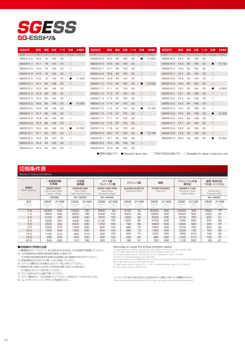## **SG-ESSFUIL** *SGESS*

| 商品記号      | 直径   | 溝長            | 全長  | シャンク径     | 在庫        | 参考価格                     | 商品記号             | 直径        | 溝長     | 全長  | シャンク径                            | 在庫        | 参考価格                     | 商品記号             | 直径   | 溝長       | 全長  | シャンク径     | 在庫        | 参考価格                                 |
|-----------|------|---------------|-----|-----------|-----------|--------------------------|------------------|-----------|--------|-----|----------------------------------|-----------|--------------------------|------------------|------|----------|-----|-----------|-----------|--------------------------------------|
| Code      | Dc   | $\mathcal{Q}$ |     | <b>Ds</b> | Stock     | Price                    | Code             | <b>Dc</b> | $\ell$ |     | Ds                               | Stock     | Price                    | Code             | Dc.  | $\Omega$ |     | <b>Ds</b> | Stock     | Price                                |
| SGESS14.6 | 14.6 | 76            | 142 | 20        | □         | ×.                       | SGESS16.5        | 16.5      | 84     | 150 | 20                               |           | 12,500                   | SGESS18.4        | 18.4 | 90       | 156 | 20        | $\Box$    |                                      |
| SGESS14.7 | 14.7 | 76            | 142 | 20        | $\Box$    | $\sim$                   | SGESS16.6        | 16.6      | 84     | 150 | 20                               | $\Box$    | $\overline{\phantom{a}}$ | SGESS18.5        | 18.5 | 90       | 156 | 20        | $\bullet$ | 15,100                               |
| SGESS14.8 | 14.8 | 76            | 142 | 20        | □         | $\sim$                   | SGESS16.7        | 16.7      | 84     | 150 | 20                               | □         | $\overline{\phantom{a}}$ | SGESS18.6        | 18.6 | 90       | 164 | 25        | П         |                                      |
| SGESS14.9 | 14.9 | 76            | 142 | 20        | $\Box$    | $\sim$                   | SGESS16.8        | 16.8      | 84     | 150 | 20                               | 0         | $\sim$                   | <b>SGESS18.7</b> | 18.7 | 90       | 164 | 25        | $\Box$    |                                      |
| SGESS15.0 | 15.0 | 76            | 142 | 20        |           | 11.200                   | SGESS16.9        | 16.9      | 84     | 150 | 20                               | □         | ٠                        | SGESS18.8        | 18.8 | 90       | 164 | 25        | $\Box$    |                                      |
| SGESS15.1 | 15.1 | 80            | 146 | 20        | $\Box$    | $\sim$                   | SGESS17.0        | 17.0      | 84     | 150 | 20                               | $\bullet$ | 12,500                   | SGESS18.9        | 18.9 | 90       | 164 | 25        | $\Box$    |                                      |
| SGESS15.2 | 15.2 | 80            | 146 | 20        | □         | $\sim$                   | SGESS17.1        | 17.1      | 87     | 153 | 20                               | □         |                          | SGESS19.0        | 19.0 | 90       | 164 | 25        |           | 15,800                               |
| SGESS15.3 | 15.3 | 80            | 146 | 20        | $\Box$    | $\leftarrow$             | SGESS17.2        | 17.2      | 87     | 153 | 20                               | 0         | $\overline{\phantom{a}}$ | SGESS19.1        | 19.1 | 94       | 168 | 25        | $\Box$    |                                      |
| SGESS15.4 | 15.4 | 80            | 146 | 20        | □         | ä,                       | SGESS17.3        | 17.3      | 87     | 153 | 20                               | □         | ٠                        | SGESS19.2        | 19.2 | 94       | 168 | 25        | n         |                                      |
| SGESS15.5 | 15.5 | 80            | 146 | 20        | $\bullet$ | 12,000                   | SGESS17.4        | 17.4      | 87     | 153 | 20                               | □         |                          | SGESS19.3        | 19.3 | 94       | 168 | 25        | $\Box$    |                                      |
| SGESS15.6 | 15.6 | 80            | 146 | 20        | П         | ÷                        | SGESS17.5        | 17.5      | 87     | 153 | 20                               |           | 13.700                   | SGESS19.4        | 19.4 | 94       | 168 | 25        | □         |                                      |
| SGESS15.7 | 15.7 | 80            | 146 | 20        | $\Box$    | $\sim$                   | SGESS17.6        | 17.6      | 87     | 153 | 20                               | $\Box$    | $\overline{\phantom{a}}$ | SGESS19.5        | 19.5 | 94       | 168 | 25        | ●         | 16,200                               |
| SGESS15.8 | 15.8 | 80            | 146 | 20        | □         | $\overline{\phantom{a}}$ | SGESS17.7        | 17.7      | 87     | 153 | 20                               | □         | ٠                        | SGESS19.6        | 19.6 | 94       | 168 | 25        | П         |                                      |
| SGESS15.9 | 15.9 | 80            | 146 | 20        | $\Box$    | $\sim$                   | SGESS17.8        | 17.8      | 87     | 153 | 20                               | $\Box$    | $\overline{\phantom{a}}$ | <b>SGESS19.7</b> | 19.7 | 94       | 168 | 25        | $\Box$    |                                      |
| SGESS16.0 | 16.0 | 80            | 146 | 20        | 0         | 12,000                   | SGESS17.9        | 17.9      | 87     | 153 | 20                               | 0         |                          | SGESS19.8        | 19.8 | 94       | 168 | 25        | $\Box$    |                                      |
| SGESS16.1 | 16.1 | 84            | 150 | 20        | $\Box$    | $\sim$                   | SGESS18.0        | 18.0      | 87     | 153 | 20                               | $\bullet$ | 13,700                   | SGESS19.9        | 19.9 | 94       | 168 | 25        | □         |                                      |
| SGESS16.2 | 16.2 | 84            | 150 | 20        | □         |                          | SGESS18.1        | 18.1      | 90     | 156 | 20                               | □         |                          | SGESS20.0        | 20.0 | 94       | 168 | 25        | ●         | 16,200                               |
| SGESS16.3 | 16.3 | 84            | 150 | 20        | $\Box$    | $\sim$                   | <b>SGESS18.2</b> | 18.2      | 90     | 156 | 20                               | $\Box$    |                          |                  |      |          |     |           |           |                                      |
| SGESS16.4 | 16.4 | 84            | 150 | 20        | □         |                          | SGESS18.3        | 18.3      | 90     | 156 | 20                               | □         |                          |                  |      |          |     |           |           |                                      |
|           |      |               |     |           |           |                          |                  |           |        |     | ● 標準在庫品です。 ● Standard stock item |           |                          | □:特定代理店在庫品です。    |      |          |     |           |           | □:Available for Japan customers only |

#### Standard Drilling Conditions 切削条件表

|                        | 一般構造用鋼<br>炭素鋼            |                                                              | 合金鋼<br>調質鋼                                             |                        | ダイス鋼<br>プレハードン鋼                                      |                        |                          | ステンレス鋼                                  |                          | 鋳鉄                        | 銅合金                      | アルミニウム合金                                      |                                       | 耐熱・耐食合金<br>Ti合金 インコネル  |  |
|------------------------|--------------------------|--------------------------------------------------------------|--------------------------------------------------------|------------------------|------------------------------------------------------|------------------------|--------------------------|-----------------------------------------|--------------------------|---------------------------|--------------------------|-----------------------------------------------|---------------------------------------|------------------------|--|
| 被削材<br>Work Material   |                          | <b>SS400 S50C</b><br><b>Structural Steel</b><br>Carbon Steel | SCM440 NAK<br>Allov Steel<br><b>Heat treated Steel</b> |                        | SKD61 NAK HPM<br>Mold Steel<br><b>Hardened Steel</b> |                        |                          | SUS304 SUS316<br><b>Stainless Steel</b> |                          | FC250 FCD400<br>Cast Iron |                          | A5052 C1100<br>Aluminum Allov<br>Copper Alloy | Nickel Allov<br><b>Titanium Allov</b> |                        |  |
|                        | $\sim$ 200HB             |                                                              | 20~30HRC                                               |                        | 30~40HRC                                             |                        |                          |                                         |                          |                           |                          |                                               | 30~40HRC                              |                        |  |
| 直径<br>Drill Dia.<br>mm | 回転数<br>Rotation<br>min-1 | 送り速度<br>Feed<br>mm/min                                       | 回転数<br>Rotation<br>min-1                               | 送り速度<br>Feed<br>mm/min | 回転数<br>Rotation<br>min-1                             | 送り速度<br>Feed<br>mm/min | 回転数<br>Rotation<br>min-1 | 送り速度<br>Feed<br>mm/min                  | 回転数<br>Rotation<br>min-1 | 送り速度<br>Feed<br>mm/min    | 回転数<br>Rotation<br>min-1 | 送り速度<br>Feed<br>mm/min                        | 回転数<br>Rotation<br>min-1              | 送り速度<br>Feed<br>mm/min |  |
| 0.5                    | 16000                    | 240                                                          | 13000                                                  | 150                    | 9500                                                 | 80                     | 5100                     | 50                                      | 20000                    | 300                       | 23000                    | 300                                           | 2500                                  | 18                     |  |
| 1.0                    | 9500                     | 280                                                          | 8000                                                   | 190                    | 6400                                                 | 140                    | 3500                     | 65                                      | 12000                    | 400                       | 15000                    | 500                                           | 1600                                  | 25                     |  |
| 2.0                    | 5700                     | 360                                                          | 4600                                                   | 240                    | 3200                                                 | 160                    | 1900                     | 80                                      | 6300                     | 490                       | 9700                     | 760                                           | 800                                   | 27                     |  |
| 3.0                    | 4200                     | 430                                                          | 3400                                                   | 290                    | 2100                                                 | 165                    | 1300                     | 85                                      | 4700                     | 600                       | 7200                     | 900                                           | 530                                   | 28                     |  |
| 5.0                    | 2500                     | 430                                                          | 2000                                                   | 290                    | 1250                                                 | 165                    | 760                      | 80                                      | 2800                     | 600                       | 4300                     | 920                                           | 320                                   | 29                     |  |
| 8.0                    | 1600                     | 370                                                          | 1300                                                   | 250                    | 800                                                  | 150                    | 480                      | 75                                      | 1800                     | 530                       | 2700                     | 790                                           | 200                                   | 26                     |  |
| 10.0                   | 1300                     | 340                                                          | 1000                                                   | 230                    | 650                                                  | 140                    | 380                      | 73                                      | 1400                     | 460                       | 2200                     | 730                                           | 160                                   | 26                     |  |
| 12.0                   | 1100                     | 310                                                          | 850                                                    | 210                    | 530                                                  | 130                    | 320                      | 70                                      | 1200                     | 430                       | 1800                     | 670                                           | 130                                   | 25                     |  |
| 16.0                   | 800                      | 290                                                          | 640                                                    | 200                    | 400                                                  | 120                    | 240                      | 63                                      | 880                      | 390                       | 1400                     | 610                                           | 100                                   | 23                     |  |
| 20.0                   | 640                      | 260                                                          | 510                                                    | 180                    | 320                                                  | 110                    | 190                      | 57                                      | 700                      | 350                       | 1100                     | 550                                           | 80                                    | 21                     |  |

#### ●切削条件ご利用の注意

- 1) 機械剛性やワーククランプ、加工部形状などの状況により切削条件を調整してください。 2) この切削条件は水溶性切削油剤を使用した場合です。
- 不水溶性切削油剤を使用する場合は回転数と送り速度を20%下げてください。
- **3) 切削油剤は加工点やドリル溝へ十分に供給してください。**
- 4) ステンレス鋼を加工する場合にはステップ加工を行ってください。
- 5) 被削材や加工条件により切りくず排出性が悪くなることがあります。
- その場合にはステップ送りをしてください。
- 6) ステップ送りは穴の上面まで戻してください。
- 7) ステップ量は0.5~1Dcを目安にしてください。小径は0.2~0.5Dcぐらいです。
- 8) コレットチャック、ミーリングチャックを使用ください。

- 
- 
- **Warnings on using the drilling condition tables**<br>
2) The table values are for drilling condition according to the rigidity of machine or work clamp state.<br>
2) The table values are for drilling with water soluble outling

コーティングに色むらを生ずることはありますが、性能にはまったく問題ありません。 Drills may have some discoloration, but it does not cause any performance problems.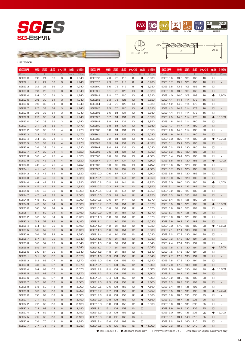











LIST 7570P

| 商品記号                      | 直径         | 溝長           | 全長       | シャンク径          | 在庫        | 参考価格           | 商品記号                 | 直径           | 溝長           | 全長         | シャンク径    | 在庫                     | 参考価格                     | 商品記号                 | 直径           | 溝長           | 全長         | シャンク径    | 在庫           | 参考価格                     |
|---------------------------|------------|--------------|----------|----------------|-----------|----------------|----------------------|--------------|--------------|------------|----------|------------------------|--------------------------|----------------------|--------------|--------------|------------|----------|--------------|--------------------------|
| Code                      | $\Box$     | $\mathcal Q$ | L        | Ds             | Stock     | Price          | Code                 | $\Box$       | $\mathcal Q$ | L          | Ds       | Stock                  | Price                    | Code                 | $\Box$       | $\mathcal Q$ | L          | Ds       | <b>Stock</b> | Price                    |
| SGES2.0                   | 2.0        | 24           | 56       | З              | 0         | 1,240          | SGES7.8              | 7.8          | 75           | 119        | 8        | 0                      | 3,280                    | SGES13.6             | 13.6         | 108          | 168        | 16       | $\Box$       |                          |
| SGES2.1                   | 2.1        | 24           | 56       | З              | ●         | 1,240          | SGES7.9              | 7.9          | 75           | 119        | 8        | $\bullet$              | 3,280                    | <b>SGES13.7</b>      | 13.7         | 108          | 168        | 16       | $\Box$       |                          |
| SGES2.2                   | 2.2        | 25           | 56       | з              | 0         | 1,240          | SGES8.0              | 8.0          | 75           | 119        | 8        |                        | 3,280                    | SGES13.8             | 13.8         | 108          | 168        | 16       | $\Box$       | ÷,                       |
| SGES2.3                   | 2.3        | 25           | 56       | З              | ●         | 1,240          | <b>SGES8.1</b>       | 8.1          | 75           | 125        | 10       | $\bullet$              | 3,620                    | SGES13.9             | 13.9         | 108          | 168        | 16       | $\Box$       |                          |
| SGES2.4                   | 2.4        | 30           | 61       | З              | O         | 1,240          | SGES8.2              | 8.2          | 75           | 125        | 10       |                        | 3,620                    | SGES14.0             | 14.0         | 108          | 168        | 16       |              | 11,900                   |
| <b>SGES2.5</b>            | 2.5        | 30           | 61       | З              | ●         | 1,240          | SGES8.3              | 8.3          | 75           | 125        | 10       | $\bullet$              | 3,620                    | SGES14.1             | 14.1         | 114          | 173        | 16       | $\Box$       |                          |
| SGES2.6                   | 2.6        | 30           | 61       | З              | 0         | 1,240          | SGES8.4              | 8.4          | 75           | 125        | 10       |                        | 3,620                    | SGES14.2             | 14.2         | 114          | 173        | 16       | □            | ä,                       |
| SGES2.7                   | 2.7        | 33           | 64       | З              | ●         | 1,240          | <b>SGES8.5</b>       | 8.5          | 75           | 125        | 10       | $\bullet$              | 3,620                    | SGES14.3             | 14.3         | 114          | 173        | 16       | $\Box$       |                          |
| SGES2.8                   | 2.8        | 33           | 64       | З              | 0         | 1,240          | SGES8.6              | 8.6          | 81           | 131        | 10       | $\bullet$              | 3,850                    | SGES14.4             | 14.4         | 114          | 173        | 16       | □            |                          |
| SGES2.9                   | 2.9        | 33           | 64       | З              | ●         | 1,240          | <b>SGES8.7</b>       | 8.7          | 81           | 131        | 10       | $\bullet$              | 3,850                    | SGES14.5             | 14.5         | 114          | 173        | 16       | e            | 13,100                   |
| SGES3.0                   | 3.0        | 33           | 64       | з              | 0         | 1,240          | SGES8.8              | 8.8          | 81           | 131        | 10       |                        | 3,850                    | SGES14.6             | 14.6         | -114         | 180        | 20       | □            |                          |
| <b>SGES3.1</b>            | 3.1        | 36           | 68       | 4              | ●         | 1,470          | SGES8.9              | 8.9          | 81           | 131        | 10       | $\bullet$              | 3,850                    | SGES14.7             | 14.7         | 114          | 180        | 20       | $\Box$       |                          |
| SGES3.2                   | 3.2        | 36           | 68       | 4              |           | 1,470          | SGES9.0              | 9.0          | 81           | 131        | 10       | $\bullet$              | 3,850                    | SGES14.8             | 14.8         | 114          | 180        | 20       | □            | $\overline{\phantom{a}}$ |
| SGES3.3                   | 3.3        | 36           | 68       | $\overline{4}$ | ●         | 1,470          | <b>SGES9.1</b>       | 9.1          | 81           | 131        | 10       | $\bullet$              | 4,090                    | SGES14.9             | 14.9         | 114          | 180        | 20       | $\Box$       |                          |
| SGES3.4                   | 3.4        | 39           | 71       | 4              |           | 1,470          | <b>SGES9.2</b>       | 9.2          | 81           | 131        | 10       | $\bullet$              | 4,090                    | SGES15.0             | 15.0         | 114          | 180        | 20       | o            | 13,700                   |
| <b>SGES3.5</b>            | 3.5        | 39           | 71       | $\overline{4}$ | O         | 1,470          | SGES9.3              | 9.3          | 81           | 131        | 10       | $\bullet$              | 4,090                    | SGES15.1             | 15.1         | 120          | 185        | 20       | $\Box$       |                          |
| SGES3.6                   | 3.6        | 39           | 71       | 4              | 0         | 1,620          | SGES9.4              | 9.4          | 81           | 131        | 10       | $\bullet$              | 4,090                    | SGES15.2             | 15.2         | 120          | 185        | 20       | □            | ÷,                       |
| SGES3.7                   | 3.7        | 39           | 71       | $\overline{4}$ | $\bullet$ | 1,620          | <b>SGES9.5</b>       | 9.5          | 81           | 131        | 10       | $\bullet$              | 4,090                    | SGES15.3             | 15.3         | 120          | 185        | 20       | $\Box$       |                          |
| SGES3.8                   | 3.8        | 43           | 75       | 4              | ●         | 1,620          | SGES9.6              | 9.6          | 87           | 137        | 10       | $\bullet$              | 4,500                    | SGES15.4             | 15.4         | 120          | 185        | 20       | □            |                          |
| SGES3.9                   | 3.9        | 43           | 75       | $\overline{4}$ | 0         | 1,620          | SGES9.7              | 9.7          | 87           | 137        | 10       | $\bullet$              | 4,500                    | SGES15.5             | 15.5         | 120          | 185        | 20       | ×            | 14,700                   |
| SGES4.0                   | 4.0        | 43           | 75       | $\overline{4}$ | ●         | 1,620          | SGES9.8              | 9.8          | 87           | 137        | 10       | $\bullet$              | 4,500                    | SGES15.6             | 15.6         | 120          | 185        | 20       | □            | ٠                        |
| <b>SGES4.1</b>            | 4.1        | 43           | 85       | 6              | ●         | 1,820          | SGES9.9              | 9.9          | 87           | 137        | 10       | $\bullet$              | 4,500                    | SGES15.7             | 15.7         | 120          | 185        | 20       | $\Box$       | $\overline{\phantom{a}}$ |
| SGES4.2                   | 4.2        | 43           | 85       | 6              | Q         | 1,820          | SGES10.0             | 10.0         | 87           | 137        | 10       | $\bullet$              | 4,500                    | SGES15.8             | 15.8         | 120          | 185        | 20       | □            |                          |
| SGES4.3                   | 4.3        | 47           | 89       | 6              | ●         | 1,820          | SGES10.1             | 10.1         | 87           | 144        | 12       | $\bullet$              | 4,850                    | SGES15.9             | 15.9         | 120          | 185        | 20       | $\Box$       |                          |
| SGES4.4                   | 4.4        | 47           | 89<br>89 | 6<br>6         | 0<br>●    | 1,820          | SGES10.2             | 10.2<br>10.3 | 87<br>87     | 144        | 12<br>12 | $\bullet$              | 4,850                    | SGES16.0             | 16.0<br>16.1 | 120<br>125   | 185<br>189 | 20<br>20 | $\Box$       | 14,700                   |
| <b>SGES4.5</b><br>SGES4.6 | 4.5<br>4.6 | 47<br>47     | 89       | 6              | Q         | 1,820<br>2,060 | SGES10.3<br>SGES10.4 | 10.4         | 87           | 144<br>144 | 12       | $\bullet$<br>$\bullet$ | 4,850<br>4,850           | SGES16.1             | 16.2         | 125          | 189        | 20       | □            |                          |
| SGES4.7                   |            |              |          |                | 0         | 2,060          |                      |              |              |            |          |                        | 4,850                    | SGES16.2             |              |              | 189        |          | $\Box$       |                          |
| SGES4.8                   | 4.7<br>4.8 | 47<br>52     | 89<br>94 | 6<br>6         | 0         | 2,060          | SGES10.5<br>SGES10.6 | 10.5<br>10.6 | 87<br>87     | 144<br>144 | 12<br>12 | $\bullet$              | 5,370                    | SGES16.3<br>SGES16.4 | 16.3<br>16.4 | 125<br>125   | 189        | 20<br>20 | □            |                          |
| SGES4.9                   | 4.9        | 52           | 94       | 6              | ●         | 2,060          | <b>SGES10.7</b>      | 10.7         | 94           | 151        | 12       | $\bullet$              | 5,370                    | SGES16.5             | 16.5         | 125          | 189        | 20       |              | 15,500                   |
| SGES5.0                   | 5.0        | 52           | 94       | 6              |           | 2,060          | SGES10.8             | 10.8         | 94           | 151        | 12       | $\bullet$              | 5,370                    | SGES16.6             | 16.6         | 125          | 189        | 20       | □            |                          |
| <b>SGES5.1</b>            | 5.1        | 52           | 94       | 6              |           | 2,460          | SGES10.9             | 10.9         | 94           | 151        | 12       | $\bullet$              | 5,370                    | <b>SGES16.7</b>      | 16.7         | 125          | 189        | 20       | $\Box$       |                          |
| <b>SGES5.2</b>            | 5.2        | 52           | 94       | 6              |           | 2,460          | SGES11.0             | 11.0         | 94           | 151        | 12       | $\bullet$              | 5,370                    | SGES16.8             | 16.8         | 125          | 189        | 20       | □            |                          |
| SGES5.3                   | 5.3        | 52           | 94       | 6              | ●         | 2,460          | SGES11.1             | 11.1         | 94           | 151        | 12       | $\bullet$              | 6,030                    | SGES16.9             | 16.9         | 125          | 189        | 20       | $\Box$       |                          |
| <b>SGES5.4</b>            | 5.4        | 57           | 99       | 6              |           | 2,460          | SGES11.2             | 11.2         | 94           | 151        | 12       | $\bullet$              | 6,030                    | SGES17.0             | 17.0         | 125          | 189        | 20       | O            | 15,500                   |
| <b>SGES5.5</b>            | 5.5        | 57           | 99       | 6              | ●         | 2,460          | SGES11.3             | 11.3         | 94           | 151        | 12       |                        | 6,030                    | SGES17.1             | 17.1         | 130          | 194        | 20       | $\Box$       |                          |
| SGES5.6                   | 5.6        | 57           | 99       | 6              |           | 2,640          | SGES11.4             | 11.4         | 94           | 151        | 12       | $\bullet$              | 6,030                    | SGES17.2             | 17.2         | 130          | 194        | 20       | □            |                          |
| <b>SGES5.7</b>            | 5.7        | 57           | 99       | 6              | $\bullet$ | 2,640          | SGES11.5             | 11.5         | 94           | 151        | 12       | $\bullet$              | 6,030                    | SGES17.3             | 17.3         | 130          | 194        | 20       | $\Box$       | $\sim$                   |
| SGES5.8                   | 5.8        | 57           | 99       | 6              |           | 2,640          | SGES11.6             | 11.6         | 94           | 151        | 12       |                        | 6,540                    | SGES17.4             | 17.4         | 130          | 194        | 20       | □            |                          |
| <b>SGES5.9</b>            | 5.9        | 57           | 99       | 6              | ۰         | 2,640          | SGES11.7             | 11.7         | 94           | 151        | 12       | 0                      | 6,540                    | SGES17.5             | 17.5         | 130          | 194        | 20       | o            | 16,800                   |
| SGES6.O                   | 6.0        | 57           | 99       | 6              |           | 2.640          | SGES11.8             | 11.8         | 94           | 151        | 12       | e                      | 6,540                    | SGES17.6             | 17.6         | 130          | 194        | 20       | □            |                          |
| <b>SGES6.1</b>            | 6.1        | 63           | 107      | 8              | $\bullet$ | 2,870          | SGES11.9             | 11.9 101     |              | 158        | 12       | $\bullet$              | 6,540                    | SGES17.7             | 17.7 130     |              | 194        | 20       | $\Box$       | $\overline{\phantom{a}}$ |
| SGES6.2                   | 6.2        | 63           | 107      | 8              | o         | 2,870          | SGES12.0             | 12.0         | 101          | 158        | 12       | $\bullet$              | 6,540                    | SGES17.8             | 17.8         | 130          | 194        | 20       | □            |                          |
| SGES6.3                   | 6.3        | 63           | 107      | 8              | $\bullet$ | 2,870          | SGES12.1             | 12.1 101     |              | 158        | 12       | $\bullet$              | 7,300                    | SGES17.9             | 17.9 130     |              | 194        | 20       | $\Box$       | $\overline{\phantom{a}}$ |
| <b>SGES6.4</b>            | 6.4        | 63           | 107      | 8              | 0         | 2,870          | SGES12.2             | 12.2 101     |              | 158        | 12       |                        | 7,300                    | SGES18.0             | 18.0 130     |              | 194        | 20       | $\bullet$    | 16,800                   |
| <b>SGES6.5</b>            | 6.5        | 63           | 107      | 8              | $\bullet$ | 2,870          | SGES12.3             | 12.3 101     |              | 158        | 12       | $\bullet$              | 7,300                    | SGES18.1             | 18.1 135     |              | 198        | 20       | $\Box$       | $\overline{\phantom{a}}$ |
| SGES6.6                   | 6.6        | 63           | 107      | 8              | $\bullet$ | 3,000          | SGES12.4             | 12.4         | 101          | 158        | 12       | $\bullet$              | 7,300                    | SGES18.2             | 18.2 135     |              | 198        | 20       | □            | ٠                        |
| <b>SGES6.7</b>            | 6.7        | 63           | 107      | 8              | $\bullet$ | 3,000          | SGES12.5             | 12.5 101     |              | 158        | 12       | $\bullet$              | 7,300                    | SGES18.3             | 18.3 135     |              | 198        | 20       | $\Box$       | $\overline{\phantom{a}}$ |
| SGES6.8                   | 6.8        | 69           | 113      | 8              | 0         | 3,000          | SGES12.6             | 12.6 101     |              | 158        | 12       | $\bullet$              | 7,660                    | SGES18.4             | 18.4 135     |              | 198        | 20       | $\Box$       |                          |
| SGES6.9                   | 6.9        | 69           | 113      | 8              | $\bullet$ | 3,000          | SGES12.7             | 12.7 101     |              | 158        | 12       | $\bullet$              | 7,660                    | SGES18.5             | 18.5 135     |              | 198        | 20       | $\bullet$    | 18,500                   |
| SGES7.0                   | 7.0        | 69           | 113      | 8              | 0         | 3,000          | SGES12.8             | 12.8         | 101          | 158        | 12       | $\bullet$              | 7,660                    | SGES18.6             | 18.6 135     |              | 206        | 25       | □            | ٠                        |
| <b>SGES7.1</b>            | 7.1        | 69           | 113      | 8              | $\bullet$ | 3,190          | SGES12.9             | 12.9 101     |              | 158        | 12       | $\bullet$              | 7,660                    | SGES18.7             | 18.7 135     |              | 206        | 25       | $\Box$       | $\overline{\phantom{a}}$ |
| <b>SGES7.2</b>            | 7.2        | 69           | 113      | 8              | 0         | 3,190          | SGES13.0             | 13.0 101     |              | 158        | 12       |                        | 7,660                    | SGES18.8             | 18.8 135     |              | 206        | 25       | $\Box$       | $\overline{\phantom{a}}$ |
| SGES7.3                   | 7.3        | 69           | 113      | 8              | $\bullet$ | 3,190          | SGES13.1             | 13.1 101     |              | 158        | 12       | $\Box$                 | $\sim$                   | SGES18.9             | 18.9 135     |              | 206        | 25       | $\Box$       | $\overline{\phantom{a}}$ |
| <b>SGES7.4</b>            | 7.4        | 69           | 113      | 8              | $\bullet$ | 3,190          | SGES13.2             | 13.2 101     |              | 158        | 12       | $\Box$                 | $\overline{\phantom{a}}$ | SGES19.0             | 19.0 135     |              | 206        | 25       | $\bullet$    | 19,300                   |
| <b>SGES7.5</b>            | 7.5        | 69           | 113      | 8              | $\bullet$ | 3,190          | SGES13.3             | 13.3 108     |              | 168        | 16       | $\Box$                 | $\overline{\phantom{a}}$ | SGES19.1             | 19.1 140     |              | 210        | 25       | $\Box$       | $\overline{\phantom{a}}$ |
| <b>SGES7.6</b>            | 7.6        | 75           | 119      | 8              |           | 3,280          | SGES13.4             | 13.4         | 108          | 168        | 16       | □                      | $\overline{\phantom{a}}$ | SGES19.2             | 19.2 140     |              | 210        | 25       | $\Box$       | $\overline{\phantom{a}}$ |
| <b>SGES7.7</b>            | 7.7        | 75           | 119      | 8              | $\bullet$ | 3,280          | SGES13.5             | 13.5 108     |              | 168        | 16       |                        | $\bullet$ 11,900         | SGES19.3             | 19.3 140     |              | 210        | 25       | $\Box$       | $\overline{\phantom{a}}$ |
|                           |            |              |          |                |           |                |                      |              |              |            |          |                        |                          |                      |              |              |            |          |              |                          |